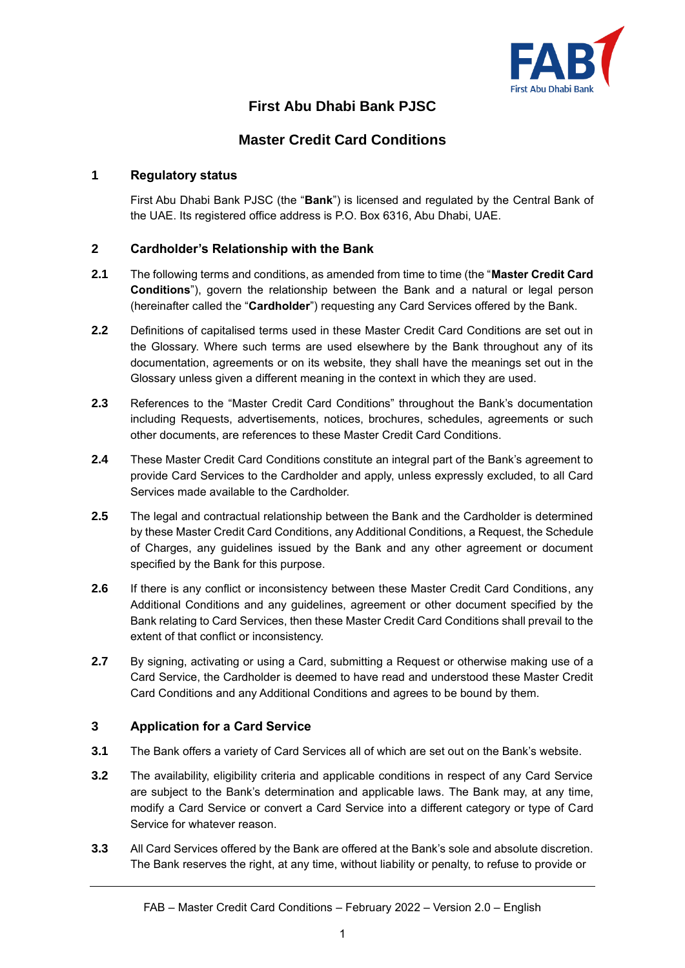

# **First Abu Dhabi Bank PJSC**

# **Master Credit Card Conditions**

# **1 Regulatory status**

First Abu Dhabi Bank PJSC (the "**Bank**") is licensed and regulated by the Central Bank of the UAE. Its registered office address is P.O. Box 6316, Abu Dhabi, UAE.

# **2 Cardholder's Relationship with the Bank**

- **2.1** The following terms and conditions, as amended from time to time (the "**Master Credit Card Conditions**"), govern the relationship between the Bank and a natural or legal person (hereinafter called the "**Cardholder**") requesting any Card Services offered by the Bank.
- **2.2** Definitions of capitalised terms used in these Master Credit Card Conditions are set out in the Glossary. Where such terms are used elsewhere by the Bank throughout any of its documentation, agreements or on its website, they shall have the meanings set out in the Glossary unless given a different meaning in the context in which they are used.
- **2.3** References to the "Master Credit Card Conditions" throughout the Bank's documentation including Requests, advertisements, notices, brochures, schedules, agreements or such other documents, are references to these Master Credit Card Conditions.
- **2.4** These Master Credit Card Conditions constitute an integral part of the Bank's agreement to provide Card Services to the Cardholder and apply, unless expressly excluded, to all Card Services made available to the Cardholder.
- **2.5** The legal and contractual relationship between the Bank and the Cardholder is determined by these Master Credit Card Conditions, any Additional Conditions, a Request, the Schedule of Charges, any guidelines issued by the Bank and any other agreement or document specified by the Bank for this purpose.
- **2.6** If there is any conflict or inconsistency between these Master Credit Card Conditions, any Additional Conditions and any guidelines, agreement or other document specified by the Bank relating to Card Services, then these Master Credit Card Conditions shall prevail to the extent of that conflict or inconsistency.
- **2.7** By signing, activating or using a Card, submitting a Request or otherwise making use of a Card Service, the Cardholder is deemed to have read and understood these Master Credit Card Conditions and any Additional Conditions and agrees to be bound by them.

# **3 Application for a Card Service**

- **3.1** The Bank offers a variety of Card Services all of which are set out on the Bank's website.
- **3.2** The availability, eligibility criteria and applicable conditions in respect of any Card Service are subject to the Bank's determination and applicable laws. The Bank may, at any time, modify a Card Service or convert a Card Service into a different category or type of Card Service for whatever reason.
- **3.3** All Card Services offered by the Bank are offered at the Bank's sole and absolute discretion. The Bank reserves the right, at any time, without liability or penalty, to refuse to provide or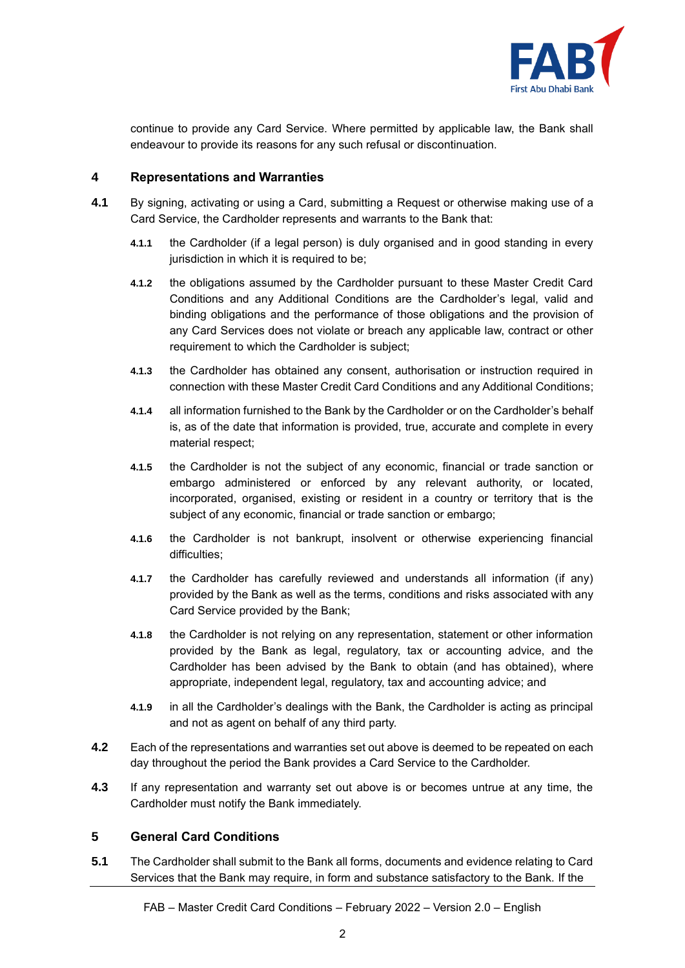

continue to provide any Card Service. Where permitted by applicable law, the Bank shall endeavour to provide its reasons for any such refusal or discontinuation.

# **4 Representations and Warranties**

- **4.1** By signing, activating or using a Card, submitting a Request or otherwise making use of a Card Service, the Cardholder represents and warrants to the Bank that:
	- **4.1.1** the Cardholder (if a legal person) is duly organised and in good standing in every jurisdiction in which it is required to be;
	- **4.1.2** the obligations assumed by the Cardholder pursuant to these Master Credit Card Conditions and any Additional Conditions are the Cardholder's legal, valid and binding obligations and the performance of those obligations and the provision of any Card Services does not violate or breach any applicable law, contract or other requirement to which the Cardholder is subject;
	- **4.1.3** the Cardholder has obtained any consent, authorisation or instruction required in connection with these Master Credit Card Conditions and any Additional Conditions;
	- **4.1.4** all information furnished to the Bank by the Cardholder or on the Cardholder's behalf is, as of the date that information is provided, true, accurate and complete in every material respect;
	- **4.1.5** the Cardholder is not the subject of any economic, financial or trade sanction or embargo administered or enforced by any relevant authority, or located, incorporated, organised, existing or resident in a country or territory that is the subject of any economic, financial or trade sanction or embargo;
	- **4.1.6** the Cardholder is not bankrupt, insolvent or otherwise experiencing financial difficulties;
	- **4.1.7** the Cardholder has carefully reviewed and understands all information (if any) provided by the Bank as well as the terms, conditions and risks associated with any Card Service provided by the Bank;
	- **4.1.8** the Cardholder is not relying on any representation, statement or other information provided by the Bank as legal, regulatory, tax or accounting advice, and the Cardholder has been advised by the Bank to obtain (and has obtained), where appropriate, independent legal, regulatory, tax and accounting advice; and
	- **4.1.9** in all the Cardholder's dealings with the Bank, the Cardholder is acting as principal and not as agent on behalf of any third party.
- **4.2** Each of the representations and warranties set out above is deemed to be repeated on each day throughout the period the Bank provides a Card Service to the Cardholder.
- **4.3** If any representation and warranty set out above is or becomes untrue at any time, the Cardholder must notify the Bank immediately.

# **5 General Card Conditions**

**5.1** The Cardholder shall submit to the Bank all forms, documents and evidence relating to Card Services that the Bank may require, in form and substance satisfactory to the Bank. If the

FAB – Master Credit Card Conditions – February 2022 – Version 2.0 – English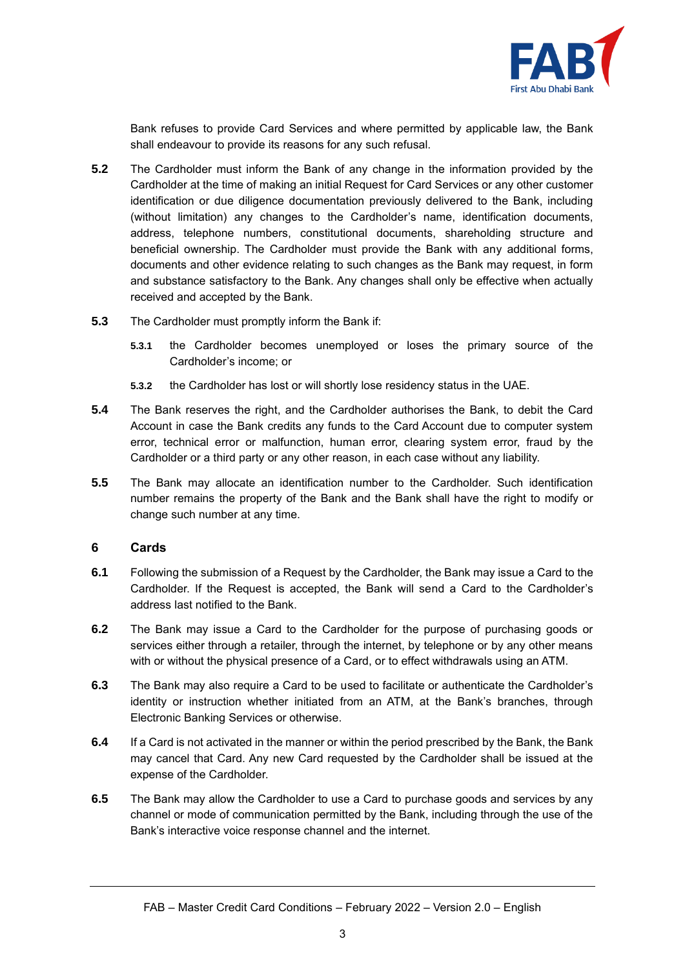

Bank refuses to provide Card Services and where permitted by applicable law, the Bank shall endeavour to provide its reasons for any such refusal.

- **5.2** The Cardholder must inform the Bank of any change in the information provided by the Cardholder at the time of making an initial Request for Card Services or any other customer identification or due diligence documentation previously delivered to the Bank, including (without limitation) any changes to the Cardholder's name, identification documents, address, telephone numbers, constitutional documents, shareholding structure and beneficial ownership. The Cardholder must provide the Bank with any additional forms, documents and other evidence relating to such changes as the Bank may request, in form and substance satisfactory to the Bank. Any changes shall only be effective when actually received and accepted by the Bank.
- **5.3** The Cardholder must promptly inform the Bank if:
	- **5.3.1** the Cardholder becomes unemployed or loses the primary source of the Cardholder's income; or
	- **5.3.2** the Cardholder has lost or will shortly lose residency status in the UAE.
- **5.4** The Bank reserves the right, and the Cardholder authorises the Bank, to debit the Card Account in case the Bank credits any funds to the Card Account due to computer system error, technical error or malfunction, human error, clearing system error, fraud by the Cardholder or a third party or any other reason, in each case without any liability.
- **5.5** The Bank may allocate an identification number to the Cardholder. Such identification number remains the property of the Bank and the Bank shall have the right to modify or change such number at any time.

#### **6 Cards**

- **6.1** Following the submission of a Request by the Cardholder, the Bank may issue a Card to the Cardholder. If the Request is accepted, the Bank will send a Card to the Cardholder's address last notified to the Bank.
- **6.2** The Bank may issue a Card to the Cardholder for the purpose of purchasing goods or services either through a retailer, through the internet, by telephone or by any other means with or without the physical presence of a Card, or to effect withdrawals using an ATM.
- **6.3** The Bank may also require a Card to be used to facilitate or authenticate the Cardholder's identity or instruction whether initiated from an ATM, at the Bank's branches, through Electronic Banking Services or otherwise.
- **6.4** If a Card is not activated in the manner or within the period prescribed by the Bank, the Bank may cancel that Card. Any new Card requested by the Cardholder shall be issued at the expense of the Cardholder.
- **6.5** The Bank may allow the Cardholder to use a Card to purchase goods and services by any channel or mode of communication permitted by the Bank, including through the use of the Bank's interactive voice response channel and the internet.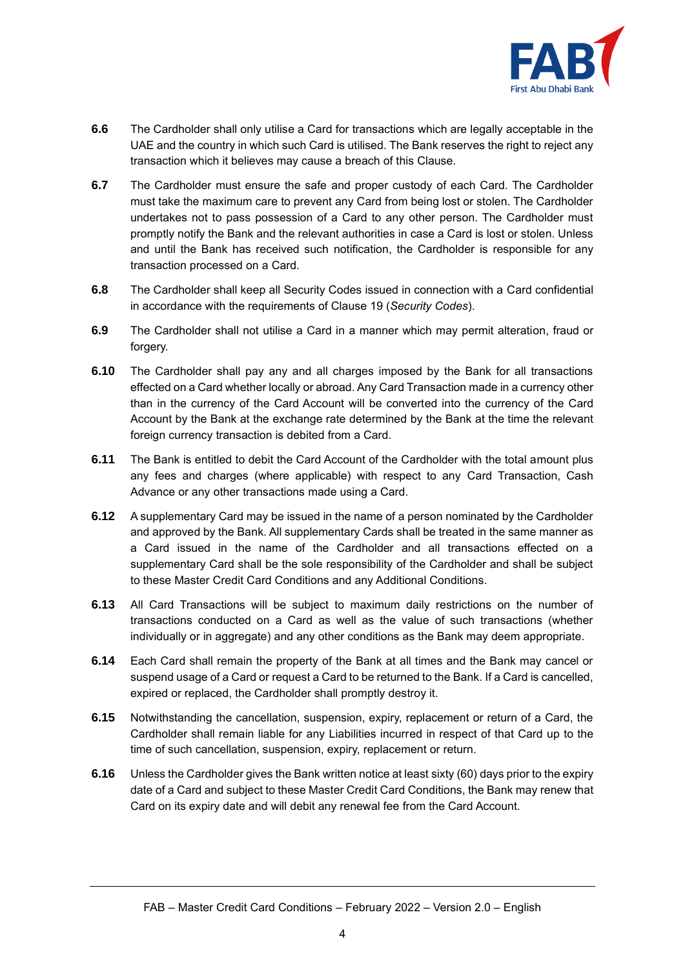

- **6.6** The Cardholder shall only utilise a Card for transactions which are legally acceptable in the UAE and the country in which such Card is utilised. The Bank reserves the right to reject any transaction which it believes may cause a breach of this Clause.
- **6.7** The Cardholder must ensure the safe and proper custody of each Card. The Cardholder must take the maximum care to prevent any Card from being lost or stolen. The Cardholder undertakes not to pass possession of a Card to any other person. The Cardholder must promptly notify the Bank and the relevant authorities in case a Card is lost or stolen. Unless and until the Bank has received such notification, the Cardholder is responsible for any transaction processed on a Card.
- **6.8** The Cardholder shall keep all Security Codes issued in connection with a Card confidential in accordance with the requirements of Clause [19](#page-11-0) (*Security Codes*).
- **6.9** The Cardholder shall not utilise a Card in a manner which may permit alteration, fraud or forgery.
- **6.10** The Cardholder shall pay any and all charges imposed by the Bank for all transactions effected on a Card whether locally or abroad. Any Card Transaction made in a currency other than in the currency of the Card Account will be converted into the currency of the Card Account by the Bank at the exchange rate determined by the Bank at the time the relevant foreign currency transaction is debited from a Card.
- **6.11** The Bank is entitled to debit the Card Account of the Cardholder with the total amount plus any fees and charges (where applicable) with respect to any Card Transaction, Cash Advance or any other transactions made using a Card.
- **6.12** A supplementary Card may be issued in the name of a person nominated by the Cardholder and approved by the Bank. All supplementary Cards shall be treated in the same manner as a Card issued in the name of the Cardholder and all transactions effected on a supplementary Card shall be the sole responsibility of the Cardholder and shall be subject to these Master Credit Card Conditions and any Additional Conditions.
- **6.13** All Card Transactions will be subject to maximum daily restrictions on the number of transactions conducted on a Card as well as the value of such transactions (whether individually or in aggregate) and any other conditions as the Bank may deem appropriate.
- **6.14** Each Card shall remain the property of the Bank at all times and the Bank may cancel or suspend usage of a Card or request a Card to be returned to the Bank. If a Card is cancelled, expired or replaced, the Cardholder shall promptly destroy it.
- **6.15** Notwithstanding the cancellation, suspension, expiry, replacement or return of a Card, the Cardholder shall remain liable for any Liabilities incurred in respect of that Card up to the time of such cancellation, suspension, expiry, replacement or return.
- **6.16** Unless the Cardholder gives the Bank written notice at least sixty (60) days prior to the expiry date of a Card and subject to these Master Credit Card Conditions, the Bank may renew that Card on its expiry date and will debit any renewal fee from the Card Account.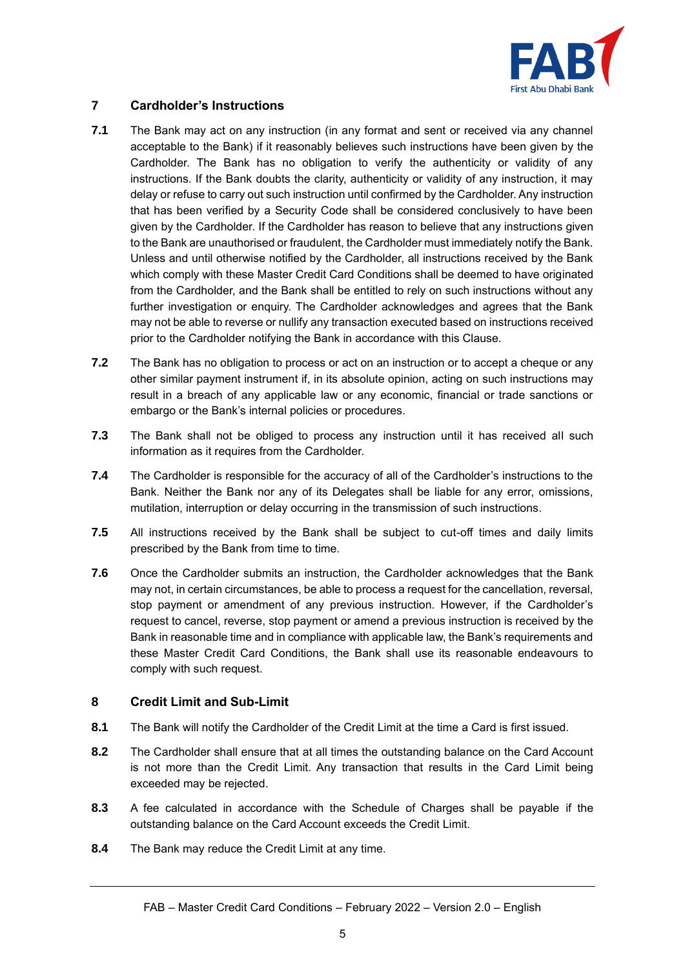

# <span id="page-4-0"></span>**7 Cardholder's Instructions**

- **7.1** The Bank may act on any instruction (in any format and sent or received via any channel acceptable to the Bank) if it reasonably believes such instructions have been given by the Cardholder. The Bank has no obligation to verify the authenticity or validity of any instructions. If the Bank doubts the clarity, authenticity or validity of any instruction, it may delay or refuse to carry out such instruction until confirmed by the Cardholder. Any instruction that has been verified by a Security Code shall be considered conclusively to have been given by the Cardholder. If the Cardholder has reason to believe that any instructions given to the Bank are unauthorised or fraudulent, the Cardholder must immediately notify the Bank. Unless and until otherwise notified by the Cardholder, all instructions received by the Bank which comply with these Master Credit Card Conditions shall be deemed to have originated from the Cardholder, and the Bank shall be entitled to rely on such instructions without any further investigation or enquiry. The Cardholder acknowledges and agrees that the Bank may not be able to reverse or nullify any transaction executed based on instructions received prior to the Cardholder notifying the Bank in accordance with this Clause.
- **7.2** The Bank has no obligation to process or act on an instruction or to accept a cheque or any other similar payment instrument if, in its absolute opinion, acting on such instructions may result in a breach of any applicable law or any economic, financial or trade sanctions or embargo or the Bank's internal policies or procedures.
- **7.3** The Bank shall not be obliged to process any instruction until it has received all such information as it requires from the Cardholder.
- **7.4** The Cardholder is responsible for the accuracy of all of the Cardholder's instructions to the Bank. Neither the Bank nor any of its Delegates shall be liable for any error, omissions, mutilation, interruption or delay occurring in the transmission of such instructions.
- **7.5** All instructions received by the Bank shall be subject to cut-off times and daily limits prescribed by the Bank from time to time.
- **7.6** Once the Cardholder submits an instruction, the Cardholder acknowledges that the Bank may not, in certain circumstances, be able to process a request for the cancellation, reversal, stop payment or amendment of any previous instruction. However, if the Cardholder's request to cancel, reverse, stop payment or amend a previous instruction is received by the Bank in reasonable time and in compliance with applicable law, the Bank's requirements and these Master Credit Card Conditions, the Bank shall use its reasonable endeavours to comply with such request.

# **8 Credit Limit and Sub-Limit**

- **8.1** The Bank will notify the Cardholder of the Credit Limit at the time a Card is first issued.
- **8.2** The Cardholder shall ensure that at all times the outstanding balance on the Card Account is not more than the Credit Limit. Any transaction that results in the Card Limit being exceeded may be rejected.
- **8.3** A fee calculated in accordance with the Schedule of Charges shall be payable if the outstanding balance on the Card Account exceeds the Credit Limit.
- **8.4** The Bank may reduce the Credit Limit at any time.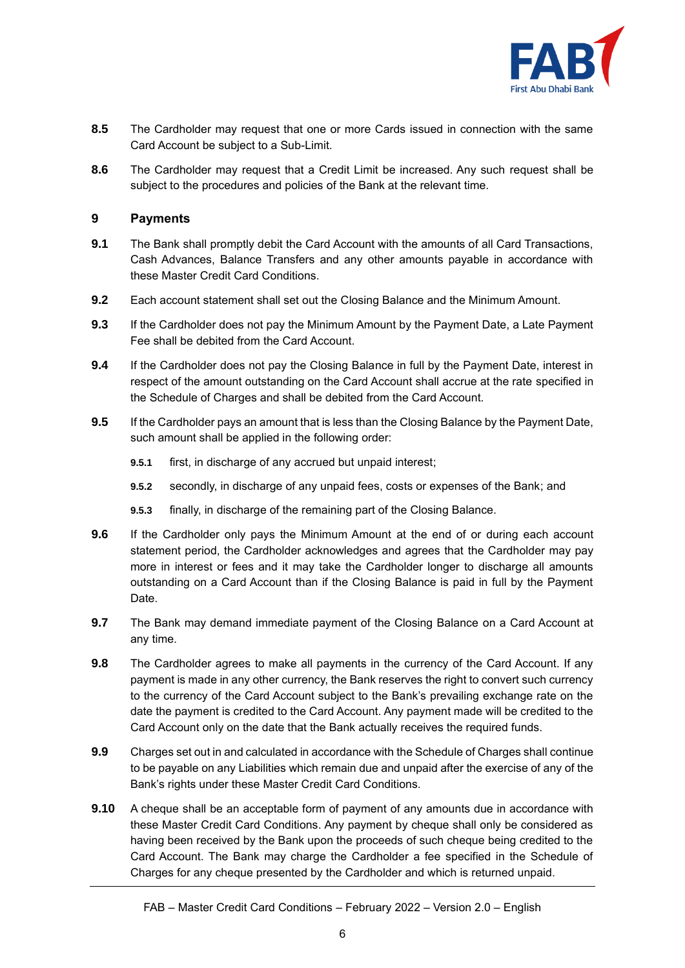

- **8.5** The Cardholder may request that one or more Cards issued in connection with the same Card Account be subject to a Sub-Limit.
- **8.6** The Cardholder may request that a Credit Limit be increased. Any such request shall be subject to the procedures and policies of the Bank at the relevant time.

#### **9 Payments**

- **9.1** The Bank shall promptly debit the Card Account with the amounts of all Card Transactions, Cash Advances, Balance Transfers and any other amounts payable in accordance with these Master Credit Card Conditions.
- **9.2** Each account statement shall set out the Closing Balance and the Minimum Amount.
- **9.3** If the Cardholder does not pay the Minimum Amount by the Payment Date, a Late Payment Fee shall be debited from the Card Account.
- **9.4** If the Cardholder does not pay the Closing Balance in full by the Payment Date, interest in respect of the amount outstanding on the Card Account shall accrue at the rate specified in the Schedule of Charges and shall be debited from the Card Account.
- **9.5** If the Cardholder pays an amount that is less than the Closing Balance by the Payment Date, such amount shall be applied in the following order:
	- **9.5.1** first, in discharge of any accrued but unpaid interest;
	- **9.5.2** secondly, in discharge of any unpaid fees, costs or expenses of the Bank; and
	- **9.5.3** finally, in discharge of the remaining part of the Closing Balance.
- **9.6** If the Cardholder only pays the Minimum Amount at the end of or during each account statement period, the Cardholder acknowledges and agrees that the Cardholder may pay more in interest or fees and it may take the Cardholder longer to discharge all amounts outstanding on a Card Account than if the Closing Balance is paid in full by the Payment Date.
- **9.7** The Bank may demand immediate payment of the Closing Balance on a Card Account at any time.
- **9.8** The Cardholder agrees to make all payments in the currency of the Card Account. If any payment is made in any other currency, the Bank reserves the right to convert such currency to the currency of the Card Account subject to the Bank's prevailing exchange rate on the date the payment is credited to the Card Account. Any payment made will be credited to the Card Account only on the date that the Bank actually receives the required funds.
- **9.9** Charges set out in and calculated in accordance with the Schedule of Charges shall continue to be payable on any Liabilities which remain due and unpaid after the exercise of any of the Bank's rights under these Master Credit Card Conditions.
- **9.10** A cheque shall be an acceptable form of payment of any amounts due in accordance with these Master Credit Card Conditions. Any payment by cheque shall only be considered as having been received by the Bank upon the proceeds of such cheque being credited to the Card Account. The Bank may charge the Cardholder a fee specified in the Schedule of Charges for any cheque presented by the Cardholder and which is returned unpaid.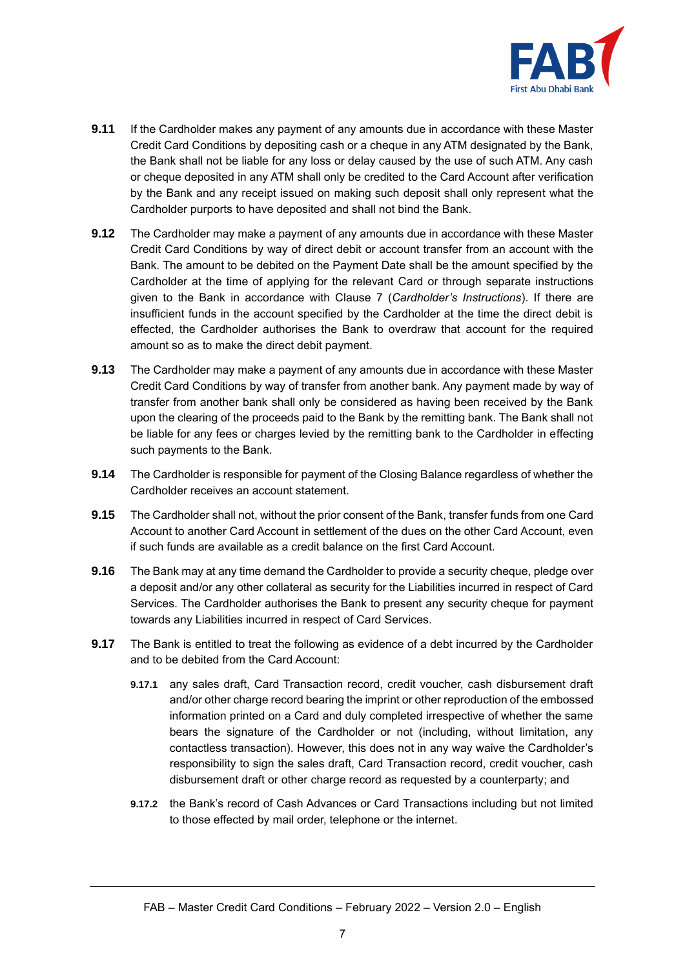

- **9.11** If the Cardholder makes any payment of any amounts due in accordance with these Master Credit Card Conditions by depositing cash or a cheque in any ATM designated by the Bank, the Bank shall not be liable for any loss or delay caused by the use of such ATM. Any cash or cheque deposited in any ATM shall only be credited to the Card Account after verification by the Bank and any receipt issued on making such deposit shall only represent what the Cardholder purports to have deposited and shall not bind the Bank.
- **9.12** The Cardholder may make a payment of any amounts due in accordance with these Master Credit Card Conditions by way of direct debit or account transfer from an account with the Bank. The amount to be debited on the Payment Date shall be the amount specified by the Cardholder at the time of applying for the relevant Card or through separate instructions given to the Bank in accordance with Clause [7](#page-4-0) (*Cardholder's Instructions*). If there are insufficient funds in the account specified by the Cardholder at the time the direct debit is effected, the Cardholder authorises the Bank to overdraw that account for the required amount so as to make the direct debit payment.
- **9.13** The Cardholder may make a payment of any amounts due in accordance with these Master Credit Card Conditions by way of transfer from another bank. Any payment made by way of transfer from another bank shall only be considered as having been received by the Bank upon the clearing of the proceeds paid to the Bank by the remitting bank. The Bank shall not be liable for any fees or charges levied by the remitting bank to the Cardholder in effecting such payments to the Bank.
- **9.14** The Cardholder is responsible for payment of the Closing Balance regardless of whether the Cardholder receives an account statement.
- **9.15** The Cardholder shall not, without the prior consent of the Bank, transfer funds from one Card Account to another Card Account in settlement of the dues on the other Card Account, even if such funds are available as a credit balance on the first Card Account.
- **9.16** The Bank may at any time demand the Cardholder to provide a security cheque, pledge over a deposit and/or any other collateral as security for the Liabilities incurred in respect of Card Services. The Cardholder authorises the Bank to present any security cheque for payment towards any Liabilities incurred in respect of Card Services.
- **9.17** The Bank is entitled to treat the following as evidence of a debt incurred by the Cardholder and to be debited from the Card Account:
	- **9.17.1** any sales draft, Card Transaction record, credit voucher, cash disbursement draft and/or other charge record bearing the imprint or other reproduction of the embossed information printed on a Card and duly completed irrespective of whether the same bears the signature of the Cardholder or not (including, without limitation, any contactless transaction). However, this does not in any way waive the Cardholder's responsibility to sign the sales draft, Card Transaction record, credit voucher, cash disbursement draft or other charge record as requested by a counterparty; and
	- **9.17.2** the Bank's record of Cash Advances or Card Transactions including but not limited to those effected by mail order, telephone or the internet.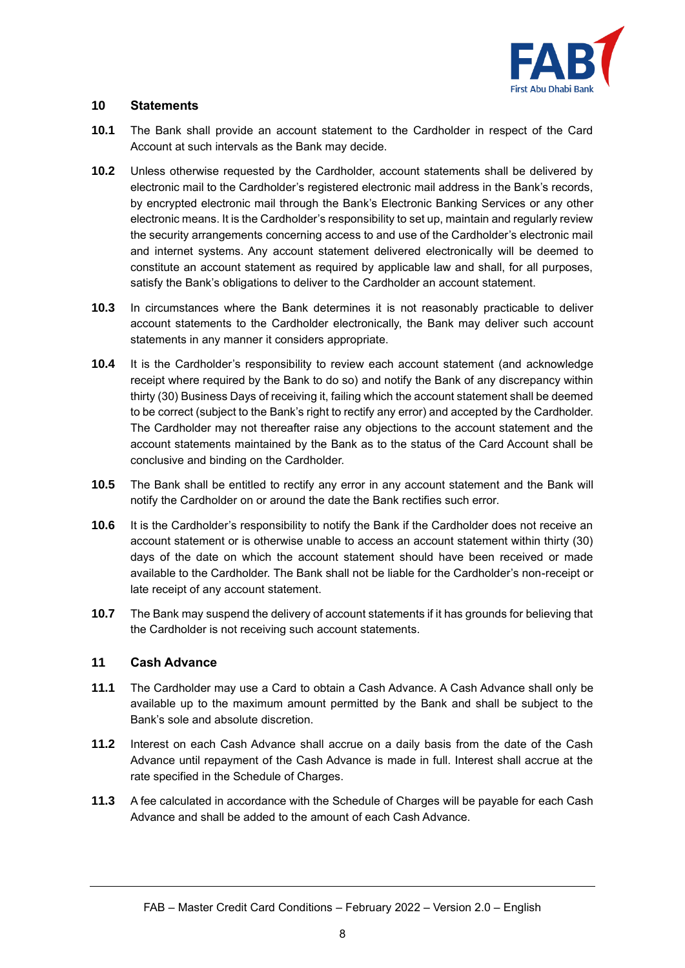

# <span id="page-7-0"></span>**10 Statements**

- **10.1** The Bank shall provide an account statement to the Cardholder in respect of the Card Account at such intervals as the Bank may decide.
- **10.2** Unless otherwise requested by the Cardholder, account statements shall be delivered by electronic mail to the Cardholder's registered electronic mail address in the Bank's records, by encrypted electronic mail through the Bank's Electronic Banking Services or any other electronic means. It is the Cardholder's responsibility to set up, maintain and regularly review the security arrangements concerning access to and use of the Cardholder's electronic mail and internet systems. Any account statement delivered electronically will be deemed to constitute an account statement as required by applicable law and shall, for all purposes, satisfy the Bank's obligations to deliver to the Cardholder an account statement.
- **10.3** In circumstances where the Bank determines it is not reasonably practicable to deliver account statements to the Cardholder electronically, the Bank may deliver such account statements in any manner it considers appropriate.
- **10.4** It is the Cardholder's responsibility to review each account statement (and acknowledge receipt where required by the Bank to do so) and notify the Bank of any discrepancy within thirty (30) Business Days of receiving it, failing which the account statement shall be deemed to be correct (subject to the Bank's right to rectify any error) and accepted by the Cardholder. The Cardholder may not thereafter raise any objections to the account statement and the account statements maintained by the Bank as to the status of the Card Account shall be conclusive and binding on the Cardholder.
- **10.5** The Bank shall be entitled to rectify any error in any account statement and the Bank will notify the Cardholder on or around the date the Bank rectifies such error.
- **10.6** It is the Cardholder's responsibility to notify the Bank if the Cardholder does not receive an account statement or is otherwise unable to access an account statement within thirty (30) days of the date on which the account statement should have been received or made available to the Cardholder. The Bank shall not be liable for the Cardholder's non-receipt or late receipt of any account statement.
- **10.7** The Bank may suspend the delivery of account statements if it has grounds for believing that the Cardholder is not receiving such account statements.

# **11 Cash Advance**

- **11.1** The Cardholder may use a Card to obtain a Cash Advance. A Cash Advance shall only be available up to the maximum amount permitted by the Bank and shall be subject to the Bank's sole and absolute discretion.
- **11.2** Interest on each Cash Advance shall accrue on a daily basis from the date of the Cash Advance until repayment of the Cash Advance is made in full. Interest shall accrue at the rate specified in the Schedule of Charges.
- **11.3** A fee calculated in accordance with the Schedule of Charges will be payable for each Cash Advance and shall be added to the amount of each Cash Advance.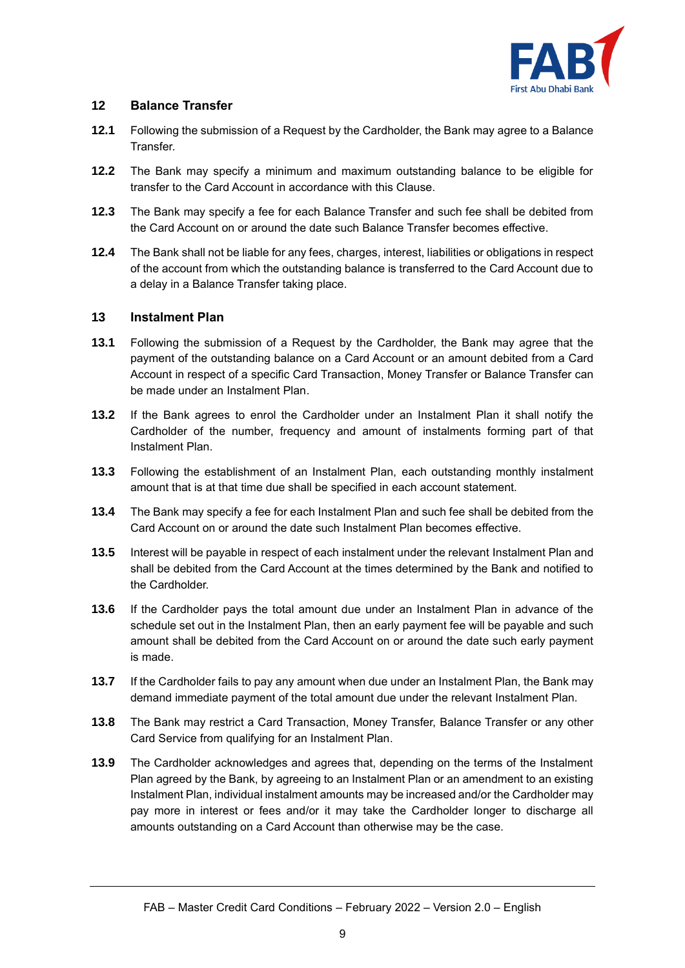

# **12 Balance Transfer**

- **12.1** Following the submission of a Request by the Cardholder, the Bank may agree to a Balance Transfer.
- **12.2** The Bank may specify a minimum and maximum outstanding balance to be eligible for transfer to the Card Account in accordance with this Clause.
- **12.3** The Bank may specify a fee for each Balance Transfer and such fee shall be debited from the Card Account on or around the date such Balance Transfer becomes effective.
- **12.4** The Bank shall not be liable for any fees, charges, interest, liabilities or obligations in respect of the account from which the outstanding balance is transferred to the Card Account due to a delay in a Balance Transfer taking place.

# **13 Instalment Plan**

- **13.1** Following the submission of a Request by the Cardholder, the Bank may agree that the payment of the outstanding balance on a Card Account or an amount debited from a Card Account in respect of a specific Card Transaction, Money Transfer or Balance Transfer can be made under an Instalment Plan.
- **13.2** If the Bank agrees to enrol the Cardholder under an Instalment Plan it shall notify the Cardholder of the number, frequency and amount of instalments forming part of that Instalment Plan.
- **13.3** Following the establishment of an Instalment Plan, each outstanding monthly instalment amount that is at that time due shall be specified in each account statement.
- **13.4** The Bank may specify a fee for each Instalment Plan and such fee shall be debited from the Card Account on or around the date such Instalment Plan becomes effective.
- **13.5** Interest will be payable in respect of each instalment under the relevant Instalment Plan and shall be debited from the Card Account at the times determined by the Bank and notified to the Cardholder.
- **13.6** If the Cardholder pays the total amount due under an Instalment Plan in advance of the schedule set out in the Instalment Plan, then an early payment fee will be payable and such amount shall be debited from the Card Account on or around the date such early payment is made.
- **13.7** If the Cardholder fails to pay any amount when due under an Instalment Plan, the Bank may demand immediate payment of the total amount due under the relevant Instalment Plan.
- **13.8** The Bank may restrict a Card Transaction, Money Transfer, Balance Transfer or any other Card Service from qualifying for an Instalment Plan.
- **13.9** The Cardholder acknowledges and agrees that, depending on the terms of the Instalment Plan agreed by the Bank, by agreeing to an Instalment Plan or an amendment to an existing Instalment Plan, individual instalment amounts may be increased and/or the Cardholder may pay more in interest or fees and/or it may take the Cardholder longer to discharge all amounts outstanding on a Card Account than otherwise may be the case.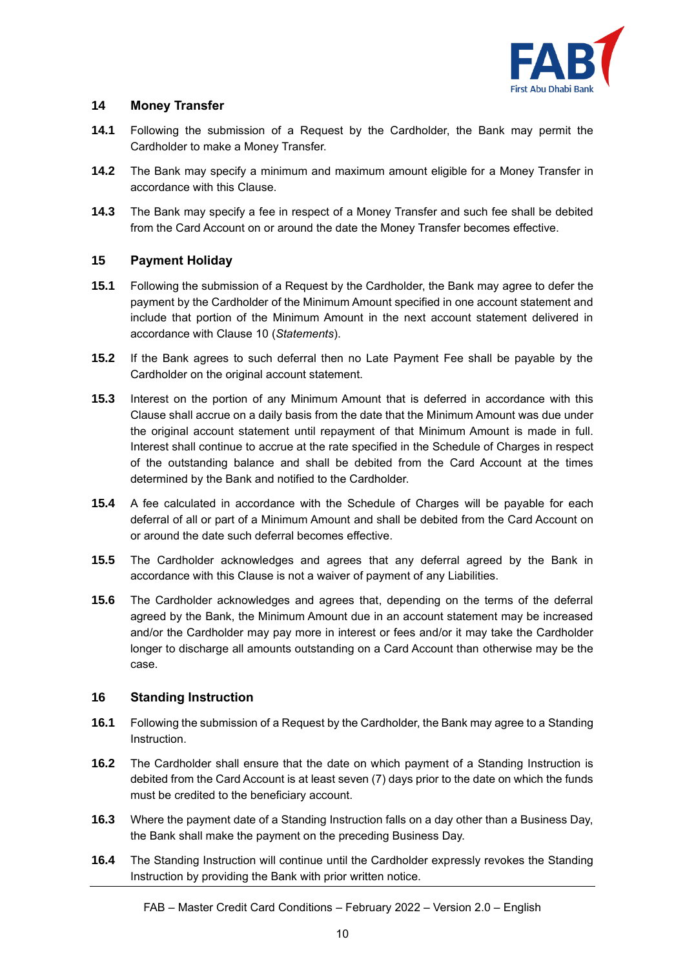

# **14 Money Transfer**

- **14.1** Following the submission of a Request by the Cardholder, the Bank may permit the Cardholder to make a Money Transfer.
- **14.2** The Bank may specify a minimum and maximum amount eligible for a Money Transfer in accordance with this Clause.
- **14.3** The Bank may specify a fee in respect of a Money Transfer and such fee shall be debited from the Card Account on or around the date the Money Transfer becomes effective.

# **15 Payment Holiday**

- **15.1** Following the submission of a Request by the Cardholder, the Bank may agree to defer the payment by the Cardholder of the Minimum Amount specified in one account statement and include that portion of the Minimum Amount in the next account statement delivered in accordance with Clause [10](#page-7-0) (*Statements*).
- **15.2** If the Bank agrees to such deferral then no Late Payment Fee shall be payable by the Cardholder on the original account statement.
- **15.3** Interest on the portion of any Minimum Amount that is deferred in accordance with this Clause shall accrue on a daily basis from the date that the Minimum Amount was due under the original account statement until repayment of that Minimum Amount is made in full. Interest shall continue to accrue at the rate specified in the Schedule of Charges in respect of the outstanding balance and shall be debited from the Card Account at the times determined by the Bank and notified to the Cardholder.
- **15.4** A fee calculated in accordance with the Schedule of Charges will be payable for each deferral of all or part of a Minimum Amount and shall be debited from the Card Account on or around the date such deferral becomes effective.
- **15.5** The Cardholder acknowledges and agrees that any deferral agreed by the Bank in accordance with this Clause is not a waiver of payment of any Liabilities.
- **15.6** The Cardholder acknowledges and agrees that, depending on the terms of the deferral agreed by the Bank, the Minimum Amount due in an account statement may be increased and/or the Cardholder may pay more in interest or fees and/or it may take the Cardholder longer to discharge all amounts outstanding on a Card Account than otherwise may be the case.

# **16 Standing Instruction**

- **16.1** Following the submission of a Request by the Cardholder, the Bank may agree to a Standing Instruction.
- **16.2** The Cardholder shall ensure that the date on which payment of a Standing Instruction is debited from the Card Account is at least seven (7) days prior to the date on which the funds must be credited to the beneficiary account.
- **16.3** Where the payment date of a Standing Instruction falls on a day other than a Business Day, the Bank shall make the payment on the preceding Business Day.
- **16.4** The Standing Instruction will continue until the Cardholder expressly revokes the Standing Instruction by providing the Bank with prior written notice.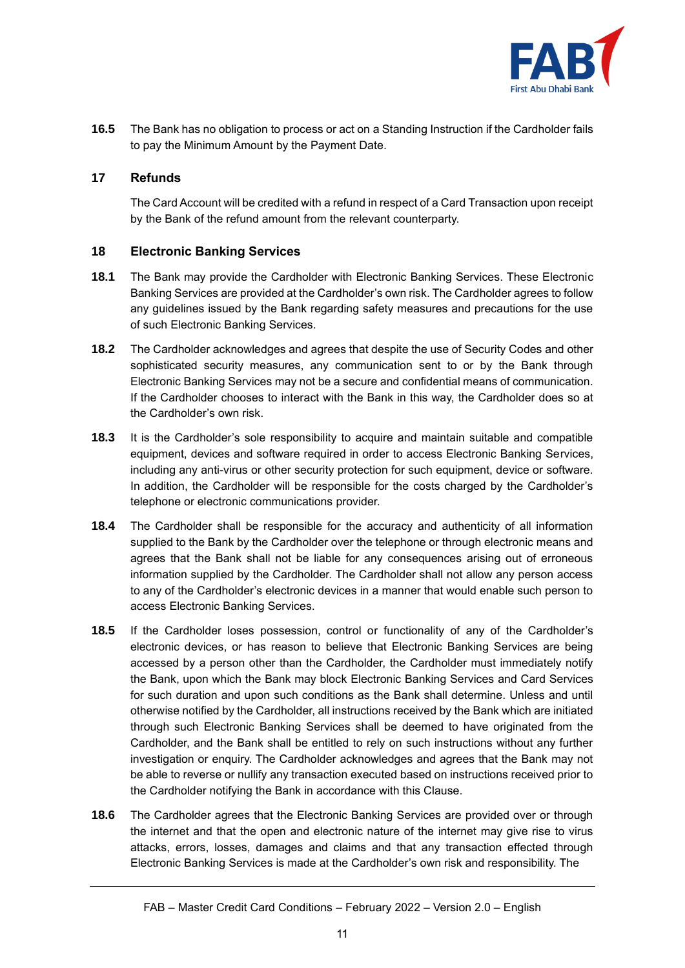

**16.5** The Bank has no obligation to process or act on a Standing Instruction if the Cardholder fails to pay the Minimum Amount by the Payment Date.

# **17 Refunds**

The Card Account will be credited with a refund in respect of a Card Transaction upon receipt by the Bank of the refund amount from the relevant counterparty.

# **18 Electronic Banking Services**

- **18.1** The Bank may provide the Cardholder with Electronic Banking Services. These Electronic Banking Services are provided at the Cardholder's own risk. The Cardholder agrees to follow any guidelines issued by the Bank regarding safety measures and precautions for the use of such Electronic Banking Services.
- **18.2** The Cardholder acknowledges and agrees that despite the use of Security Codes and other sophisticated security measures, any communication sent to or by the Bank through Electronic Banking Services may not be a secure and confidential means of communication. If the Cardholder chooses to interact with the Bank in this way, the Cardholder does so at the Cardholder's own risk.
- **18.3** It is the Cardholder's sole responsibility to acquire and maintain suitable and compatible equipment, devices and software required in order to access Electronic Banking Services, including any anti-virus or other security protection for such equipment, device or software. In addition, the Cardholder will be responsible for the costs charged by the Cardholder's telephone or electronic communications provider.
- **18.4** The Cardholder shall be responsible for the accuracy and authenticity of all information supplied to the Bank by the Cardholder over the telephone or through electronic means and agrees that the Bank shall not be liable for any consequences arising out of erroneous information supplied by the Cardholder. The Cardholder shall not allow any person access to any of the Cardholder's electronic devices in a manner that would enable such person to access Electronic Banking Services.
- **18.5** If the Cardholder loses possession, control or functionality of any of the Cardholder's electronic devices, or has reason to believe that Electronic Banking Services are being accessed by a person other than the Cardholder, the Cardholder must immediately notify the Bank, upon which the Bank may block Electronic Banking Services and Card Services for such duration and upon such conditions as the Bank shall determine. Unless and until otherwise notified by the Cardholder, all instructions received by the Bank which are initiated through such Electronic Banking Services shall be deemed to have originated from the Cardholder, and the Bank shall be entitled to rely on such instructions without any further investigation or enquiry. The Cardholder acknowledges and agrees that the Bank may not be able to reverse or nullify any transaction executed based on instructions received prior to the Cardholder notifying the Bank in accordance with this Clause.
- **18.6** The Cardholder agrees that the Electronic Banking Services are provided over or through the internet and that the open and electronic nature of the internet may give rise to virus attacks, errors, losses, damages and claims and that any transaction effected through Electronic Banking Services is made at the Cardholder's own risk and responsibility. The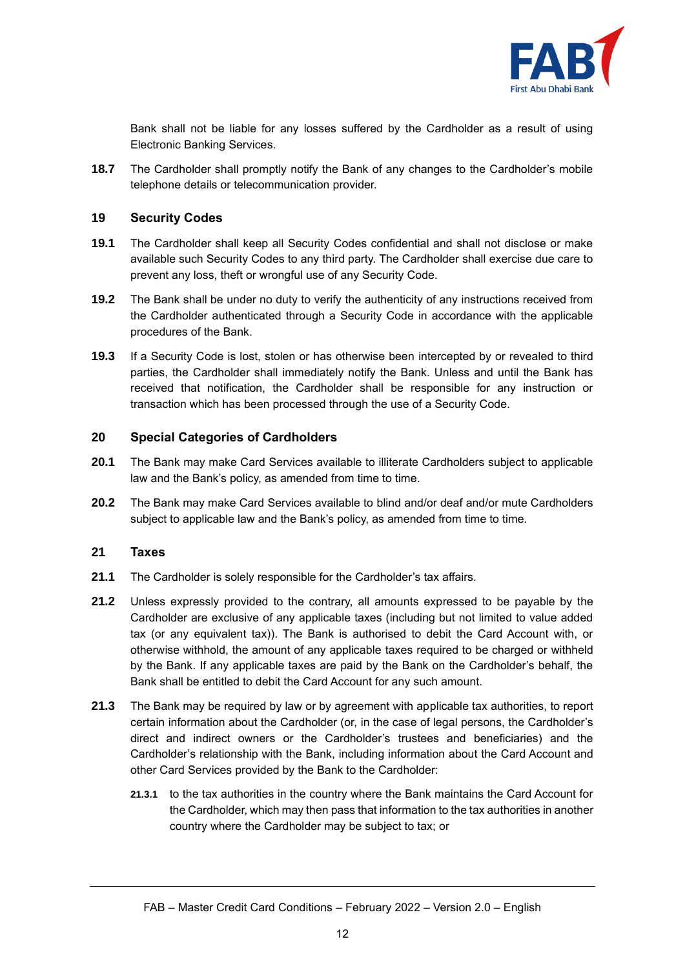

Bank shall not be liable for any losses suffered by the Cardholder as a result of using Electronic Banking Services.

**18.7** The Cardholder shall promptly notify the Bank of any changes to the Cardholder's mobile telephone details or telecommunication provider.

#### <span id="page-11-0"></span>**19 Security Codes**

- **19.1** The Cardholder shall keep all Security Codes confidential and shall not disclose or make available such Security Codes to any third party. The Cardholder shall exercise due care to prevent any loss, theft or wrongful use of any Security Code.
- **19.2** The Bank shall be under no duty to verify the authenticity of any instructions received from the Cardholder authenticated through a Security Code in accordance with the applicable procedures of the Bank.
- **19.3** If a Security Code is lost, stolen or has otherwise been intercepted by or revealed to third parties, the Cardholder shall immediately notify the Bank. Unless and until the Bank has received that notification, the Cardholder shall be responsible for any instruction or transaction which has been processed through the use of a Security Code.

# **20 Special Categories of Cardholders**

- **20.1** The Bank may make Card Services available to illiterate Cardholders subject to applicable law and the Bank's policy, as amended from time to time.
- **20.2** The Bank may make Card Services available to blind and/or deaf and/or mute Cardholders subject to applicable law and the Bank's policy, as amended from time to time.

#### **21 Taxes**

- **21.1** The Cardholder is solely responsible for the Cardholder's tax affairs.
- **21.2** Unless expressly provided to the contrary, all amounts expressed to be payable by the Cardholder are exclusive of any applicable taxes (including but not limited to value added tax (or any equivalent tax)). The Bank is authorised to debit the Card Account with, or otherwise withhold, the amount of any applicable taxes required to be charged or withheld by the Bank. If any applicable taxes are paid by the Bank on the Cardholder's behalf, the Bank shall be entitled to debit the Card Account for any such amount.
- **21.3** The Bank may be required by law or by agreement with applicable tax authorities, to report certain information about the Cardholder (or, in the case of legal persons, the Cardholder's direct and indirect owners or the Cardholder's trustees and beneficiaries) and the Cardholder's relationship with the Bank, including information about the Card Account and other Card Services provided by the Bank to the Cardholder:
	- **21.3.1** to the tax authorities in the country where the Bank maintains the Card Account for the Cardholder, which may then pass that information to the tax authorities in another country where the Cardholder may be subject to tax; or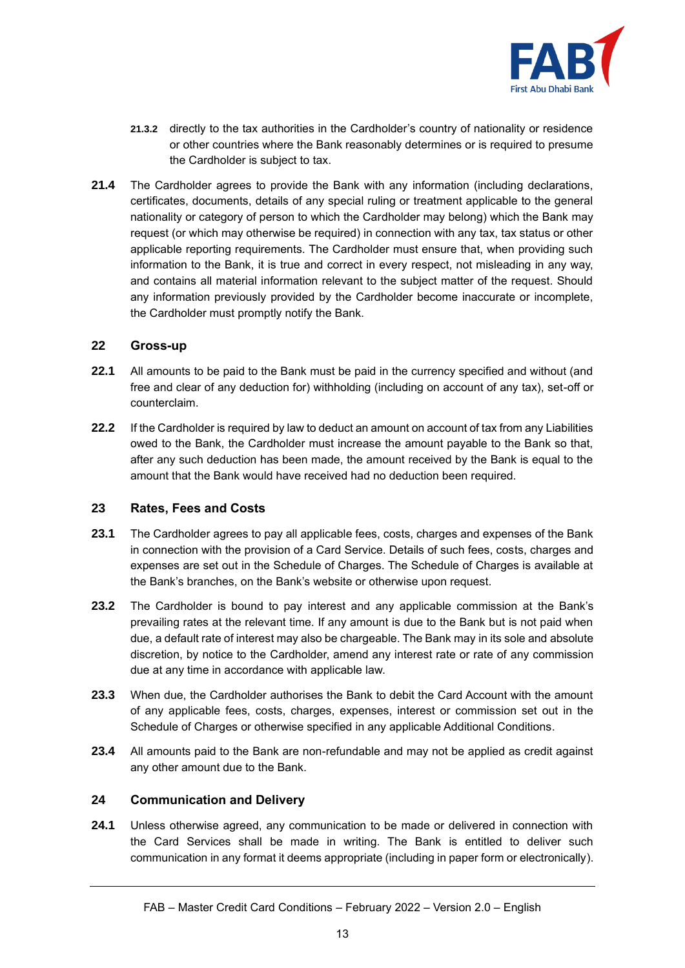

- **21.3.2** directly to the tax authorities in the Cardholder's country of nationality or residence or other countries where the Bank reasonably determines or is required to presume the Cardholder is subject to tax.
- **21.4** The Cardholder agrees to provide the Bank with any information (including declarations, certificates, documents, details of any special ruling or treatment applicable to the general nationality or category of person to which the Cardholder may belong) which the Bank may request (or which may otherwise be required) in connection with any tax, tax status or other applicable reporting requirements. The Cardholder must ensure that, when providing such information to the Bank, it is true and correct in every respect, not misleading in any way, and contains all material information relevant to the subject matter of the request. Should any information previously provided by the Cardholder become inaccurate or incomplete, the Cardholder must promptly notify the Bank.

#### **22 Gross-up**

- **22.1** All amounts to be paid to the Bank must be paid in the currency specified and without (and free and clear of any deduction for) withholding (including on account of any tax), set-off or counterclaim.
- **22.2** If the Cardholder is required by law to deduct an amount on account of tax from any Liabilities owed to the Bank, the Cardholder must increase the amount payable to the Bank so that, after any such deduction has been made, the amount received by the Bank is equal to the amount that the Bank would have received had no deduction been required.

# <span id="page-12-0"></span>**23 Rates, Fees and Costs**

- **23.1** The Cardholder agrees to pay all applicable fees, costs, charges and expenses of the Bank in connection with the provision of a Card Service. Details of such fees, costs, charges and expenses are set out in the Schedule of Charges. The Schedule of Charges is available at the Bank's branches, on the Bank's website or otherwise upon request.
- **23.2** The Cardholder is bound to pay interest and any applicable commission at the Bank's prevailing rates at the relevant time. If any amount is due to the Bank but is not paid when due, a default rate of interest may also be chargeable. The Bank may in its sole and absolute discretion, by notice to the Cardholder, amend any interest rate or rate of any commission due at any time in accordance with applicable law.
- **23.3** When due, the Cardholder authorises the Bank to debit the Card Account with the amount of any applicable fees, costs, charges, expenses, interest or commission set out in the Schedule of Charges or otherwise specified in any applicable Additional Conditions.
- **23.4** All amounts paid to the Bank are non-refundable and may not be applied as credit against any other amount due to the Bank.

#### **24 Communication and Delivery**

**24.1** Unless otherwise agreed, any communication to be made or delivered in connection with the Card Services shall be made in writing. The Bank is entitled to deliver such communication in any format it deems appropriate (including in paper form or electronically).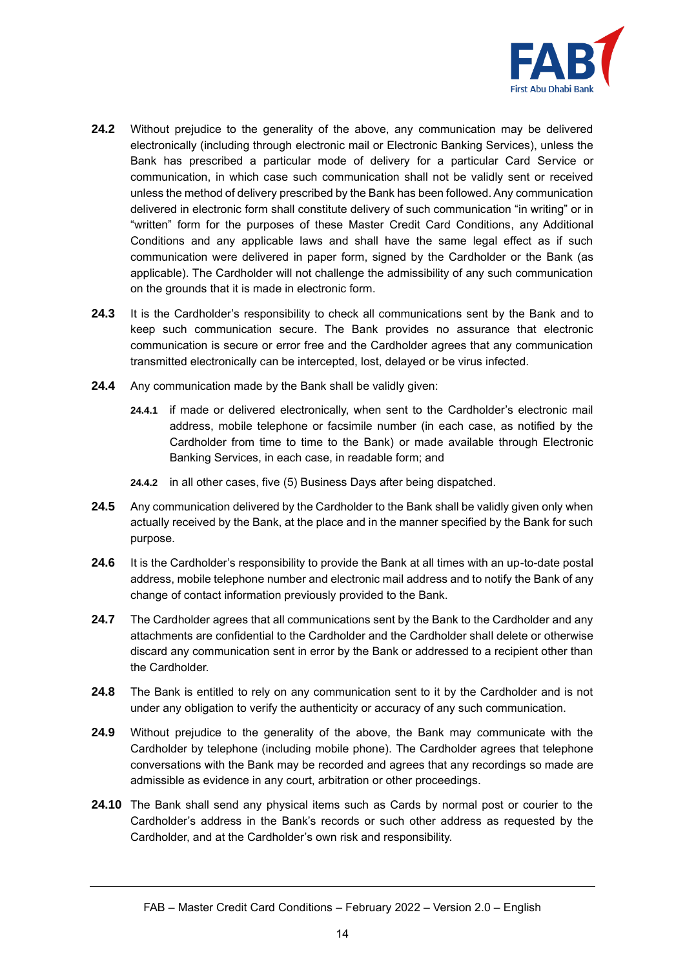

- **24.2** Without prejudice to the generality of the above, any communication may be delivered electronically (including through electronic mail or Electronic Banking Services), unless the Bank has prescribed a particular mode of delivery for a particular Card Service or communication, in which case such communication shall not be validly sent or received unless the method of delivery prescribed by the Bank has been followed. Any communication delivered in electronic form shall constitute delivery of such communication "in writing" or in "written" form for the purposes of these Master Credit Card Conditions, any Additional Conditions and any applicable laws and shall have the same legal effect as if such communication were delivered in paper form, signed by the Cardholder or the Bank (as applicable). The Cardholder will not challenge the admissibility of any such communication on the grounds that it is made in electronic form.
- **24.3** It is the Cardholder's responsibility to check all communications sent by the Bank and to keep such communication secure. The Bank provides no assurance that electronic communication is secure or error free and the Cardholder agrees that any communication transmitted electronically can be intercepted, lost, delayed or be virus infected.
- **24.4** Any communication made by the Bank shall be validly given:
	- **24.4.1** if made or delivered electronically, when sent to the Cardholder's electronic mail address, mobile telephone or facsimile number (in each case, as notified by the Cardholder from time to time to the Bank) or made available through Electronic Banking Services, in each case, in readable form; and
	- **24.4.2** in all other cases, five (5) Business Days after being dispatched.
- **24.5** Any communication delivered by the Cardholder to the Bank shall be validly given only when actually received by the Bank, at the place and in the manner specified by the Bank for such purpose.
- **24.6** It is the Cardholder's responsibility to provide the Bank at all times with an up-to-date postal address, mobile telephone number and electronic mail address and to notify the Bank of any change of contact information previously provided to the Bank.
- **24.7** The Cardholder agrees that all communications sent by the Bank to the Cardholder and any attachments are confidential to the Cardholder and the Cardholder shall delete or otherwise discard any communication sent in error by the Bank or addressed to a recipient other than the Cardholder.
- **24.8** The Bank is entitled to rely on any communication sent to it by the Cardholder and is not under any obligation to verify the authenticity or accuracy of any such communication.
- **24.9** Without prejudice to the generality of the above, the Bank may communicate with the Cardholder by telephone (including mobile phone). The Cardholder agrees that telephone conversations with the Bank may be recorded and agrees that any recordings so made are admissible as evidence in any court, arbitration or other proceedings.
- **24.10** The Bank shall send any physical items such as Cards by normal post or courier to the Cardholder's address in the Bank's records or such other address as requested by the Cardholder, and at the Cardholder's own risk and responsibility.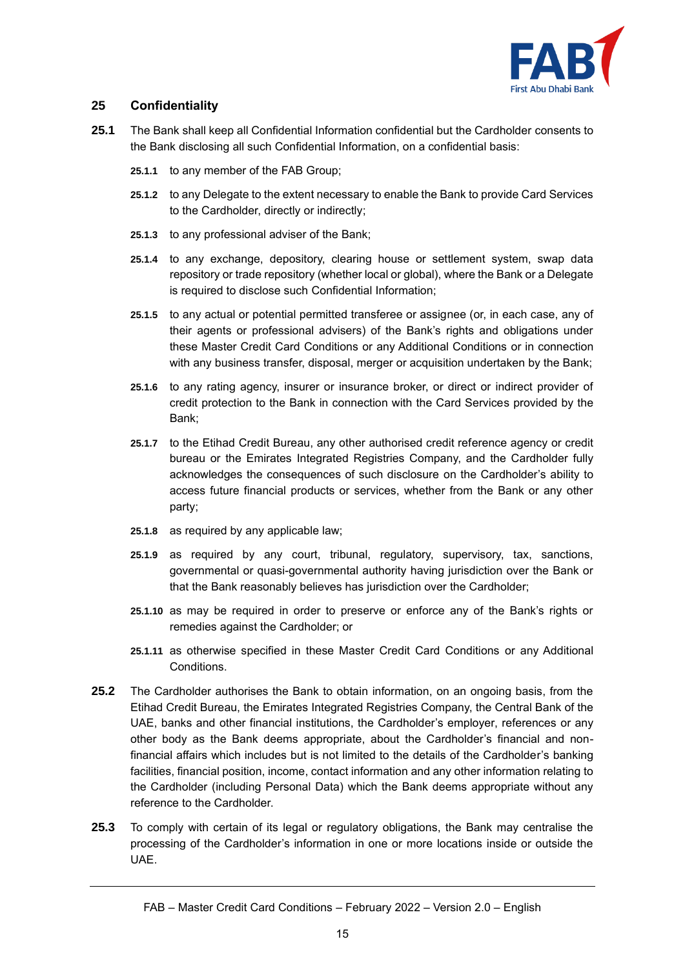

# **25 Confidentiality**

- **25.1** The Bank shall keep all Confidential Information confidential but the Cardholder consents to the Bank disclosing all such Confidential Information, on a confidential basis:
	- **25.1.1** to any member of the FAB Group;
	- **25.1.2** to any Delegate to the extent necessary to enable the Bank to provide Card Services to the Cardholder, directly or indirectly;
	- **25.1.3** to any professional adviser of the Bank;
	- **25.1.4** to any exchange, depository, clearing house or settlement system, swap data repository or trade repository (whether local or global), where the Bank or a Delegate is required to disclose such Confidential Information;
	- **25.1.5** to any actual or potential permitted transferee or assignee (or, in each case, any of their agents or professional advisers) of the Bank's rights and obligations under these Master Credit Card Conditions or any Additional Conditions or in connection with any business transfer, disposal, merger or acquisition undertaken by the Bank;
	- **25.1.6** to any rating agency, insurer or insurance broker, or direct or indirect provider of credit protection to the Bank in connection with the Card Services provided by the Bank;
	- **25.1.7** to the Etihad Credit Bureau, any other authorised credit reference agency or credit bureau or the Emirates Integrated Registries Company, and the Cardholder fully acknowledges the consequences of such disclosure on the Cardholder's ability to access future financial products or services, whether from the Bank or any other party;
	- **25.1.8** as required by any applicable law;
	- **25.1.9** as required by any court, tribunal, regulatory, supervisory, tax, sanctions, governmental or quasi-governmental authority having jurisdiction over the Bank or that the Bank reasonably believes has jurisdiction over the Cardholder;
	- **25.1.10** as may be required in order to preserve or enforce any of the Bank's rights or remedies against the Cardholder; or
	- **25.1.11** as otherwise specified in these Master Credit Card Conditions or any Additional **Conditions**
- **25.2** The Cardholder authorises the Bank to obtain information, on an ongoing basis, from the Etihad Credit Bureau, the Emirates Integrated Registries Company, the Central Bank of the UAE, banks and other financial institutions, the Cardholder's employer, references or any other body as the Bank deems appropriate, about the Cardholder's financial and nonfinancial affairs which includes but is not limited to the details of the Cardholder's banking facilities, financial position, income, contact information and any other information relating to the Cardholder (including Personal Data) which the Bank deems appropriate without any reference to the Cardholder.
- **25.3** To comply with certain of its legal or regulatory obligations, the Bank may centralise the processing of the Cardholder's information in one or more locations inside or outside the UAE.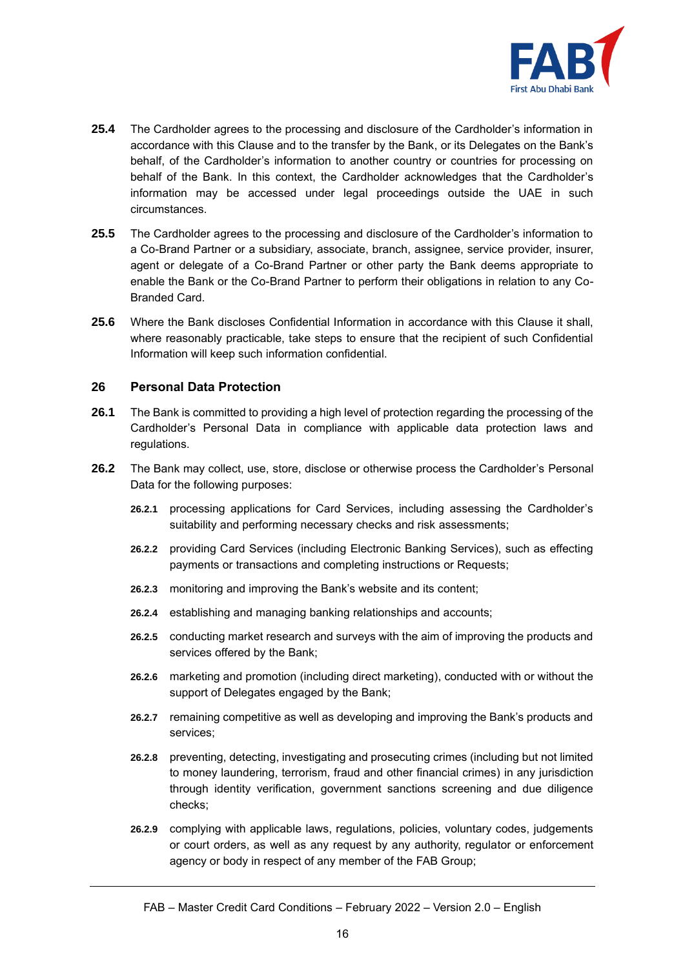

- **25.4** The Cardholder agrees to the processing and disclosure of the Cardholder's information in accordance with this Clause and to the transfer by the Bank, or its Delegates on the Bank's behalf, of the Cardholder's information to another country or countries for processing on behalf of the Bank. In this context, the Cardholder acknowledges that the Cardholder's information may be accessed under legal proceedings outside the UAE in such circumstances.
- **25.5** The Cardholder agrees to the processing and disclosure of the Cardholder's information to a Co-Brand Partner or a subsidiary, associate, branch, assignee, service provider, insurer, agent or delegate of a Co-Brand Partner or other party the Bank deems appropriate to enable the Bank or the Co-Brand Partner to perform their obligations in relation to any Co-Branded Card.
- **25.6** Where the Bank discloses Confidential Information in accordance with this Clause it shall, where reasonably practicable, take steps to ensure that the recipient of such Confidential Information will keep such information confidential.

#### **26 Personal Data Protection**

- **26.1** The Bank is committed to providing a high level of protection regarding the processing of the Cardholder's Personal Data in compliance with applicable data protection laws and regulations.
- **26.2** The Bank may collect, use, store, disclose or otherwise process the Cardholder's Personal Data for the following purposes:
	- **26.2.1** processing applications for Card Services, including assessing the Cardholder's suitability and performing necessary checks and risk assessments;
	- **26.2.2** providing Card Services (including Electronic Banking Services), such as effecting payments or transactions and completing instructions or Requests;
	- **26.2.3** monitoring and improving the Bank's website and its content;
	- **26.2.4** establishing and managing banking relationships and accounts;
	- **26.2.5** conducting market research and surveys with the aim of improving the products and services offered by the Bank;
	- **26.2.6** marketing and promotion (including direct marketing), conducted with or without the support of Delegates engaged by the Bank;
	- **26.2.7** remaining competitive as well as developing and improving the Bank's products and services;
	- **26.2.8** preventing, detecting, investigating and prosecuting crimes (including but not limited to money laundering, terrorism, fraud and other financial crimes) in any jurisdiction through identity verification, government sanctions screening and due diligence checks;
	- **26.2.9** complying with applicable laws, regulations, policies, voluntary codes, judgements or court orders, as well as any request by any authority, regulator or enforcement agency or body in respect of any member of the FAB Group;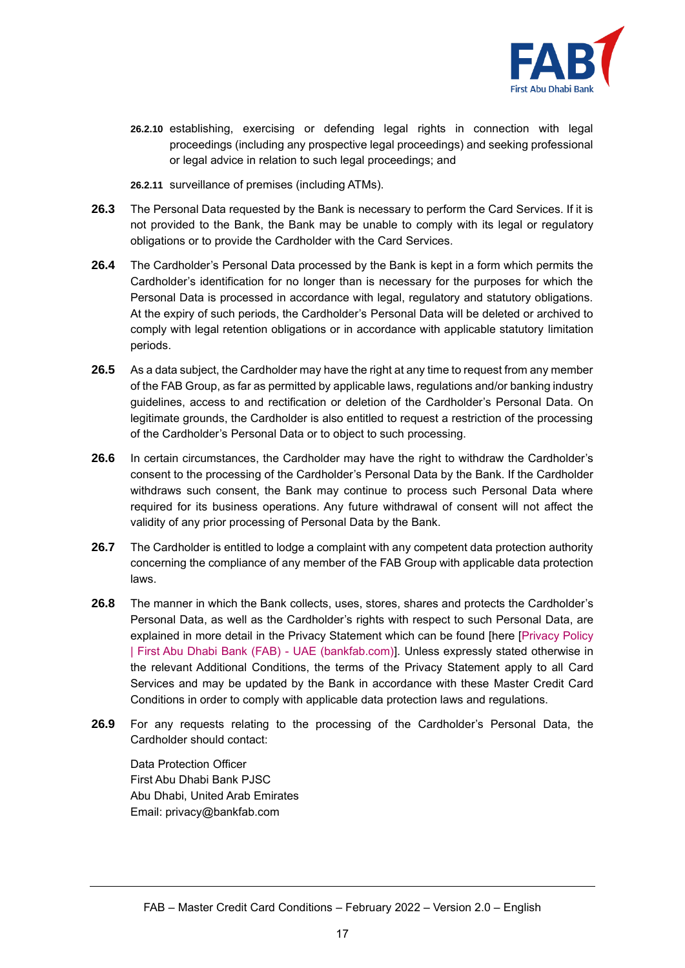

- **26.2.10** establishing, exercising or defending legal rights in connection with legal proceedings (including any prospective legal proceedings) and seeking professional or legal advice in relation to such legal proceedings; and
- **26.2.11** surveillance of premises (including ATMs).
- **26.3** The Personal Data requested by the Bank is necessary to perform the Card Services. If it is not provided to the Bank, the Bank may be unable to comply with its legal or regulatory obligations or to provide the Cardholder with the Card Services.
- **26.4** The Cardholder's Personal Data processed by the Bank is kept in a form which permits the Cardholder's identification for no longer than is necessary for the purposes for which the Personal Data is processed in accordance with legal, regulatory and statutory obligations. At the expiry of such periods, the Cardholder's Personal Data will be deleted or archived to comply with legal retention obligations or in accordance with applicable statutory limitation periods.
- **26.5** As a data subject, the Cardholder may have the right at any time to request from any member of the FAB Group, as far as permitted by applicable laws, regulations and/or banking industry guidelines, access to and rectification or deletion of the Cardholder's Personal Data. On legitimate grounds, the Cardholder is also entitled to request a restriction of the processing of the Cardholder's Personal Data or to object to such processing.
- **26.6** In certain circumstances, the Cardholder may have the right to withdraw the Cardholder's consent to the processing of the Cardholder's Personal Data by the Bank. If the Cardholder withdraws such consent, the Bank may continue to process such Personal Data where required for its business operations. Any future withdrawal of consent will not affect the validity of any prior processing of Personal Data by the Bank.
- **26.7** The Cardholder is entitled to lodge a complaint with any competent data protection authority concerning the compliance of any member of the FAB Group with applicable data protection laws.
- **26.8** The manner in which the Bank collects, uses, stores, shares and protects the Cardholder's Personal Data, as well as the Cardholder's rights with respect to such Personal Data, are explained in more detail in the Privacy Statement which can be found [here [\[Privacy Policy](https://www.bankfab.com/en-ae/privacy-policy)  [| First Abu Dhabi Bank \(FAB\) -](https://www.bankfab.com/en-ae/privacy-policy) UAE (bankfab.com)]. Unless expressly stated otherwise in the relevant Additional Conditions, the terms of the Privacy Statement apply to all Card Services and may be updated by the Bank in accordance with these Master Credit Card Conditions in order to comply with applicable data protection laws and regulations.
- **26.9** For any requests relating to the processing of the Cardholder's Personal Data, the Cardholder should contact:

Data Protection Officer First Abu Dhabi Bank PJSC Abu Dhabi, United Arab Emirates Email: [privacy@bankfab.com](mailto:privacy@bankfab.com)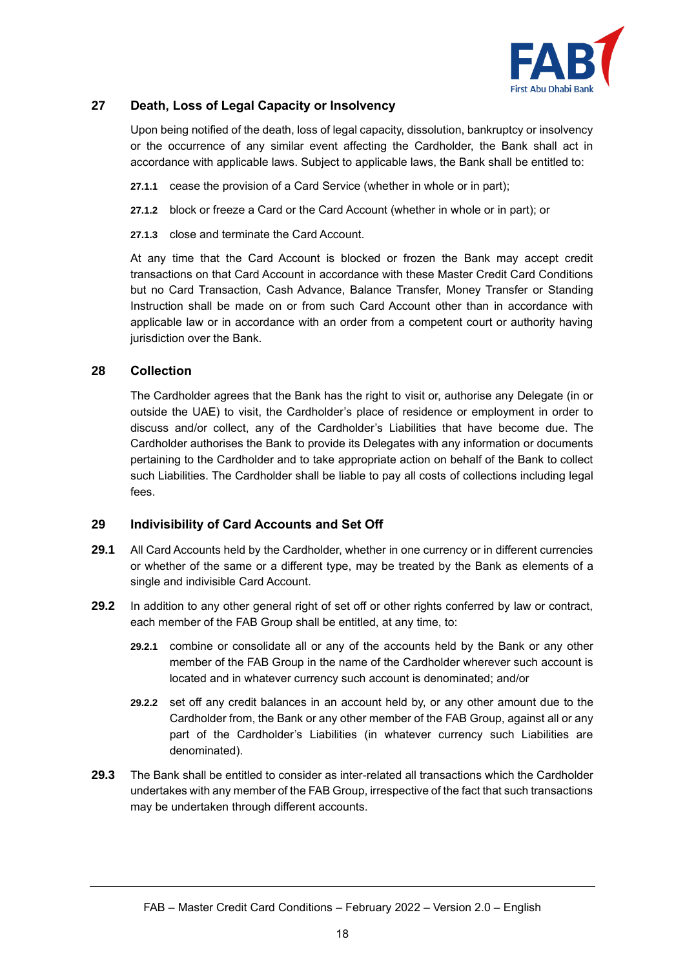

# <span id="page-17-0"></span>**27 Death, Loss of Legal Capacity or Insolvency**

Upon being notified of the death, loss of legal capacity, dissolution, bankruptcy or insolvency or the occurrence of any similar event affecting the Cardholder, the Bank shall act in accordance with applicable laws. Subject to applicable laws, the Bank shall be entitled to:

- **27.1.1** cease the provision of a Card Service (whether in whole or in part);
- **27.1.2** block or freeze a Card or the Card Account (whether in whole or in part); or
- **27.1.3** close and terminate the Card Account.

At any time that the Card Account is blocked or frozen the Bank may accept credit transactions on that Card Account in accordance with these Master Credit Card Conditions but no Card Transaction, Cash Advance, Balance Transfer, Money Transfer or Standing Instruction shall be made on or from such Card Account other than in accordance with applicable law or in accordance with an order from a competent court or authority having jurisdiction over the Bank.

#### **28 Collection**

The Cardholder agrees that the Bank has the right to visit or, authorise any Delegate (in or outside the UAE) to visit, the Cardholder's place of residence or employment in order to discuss and/or collect, any of the Cardholder's Liabilities that have become due. The Cardholder authorises the Bank to provide its Delegates with any information or documents pertaining to the Cardholder and to take appropriate action on behalf of the Bank to collect such Liabilities. The Cardholder shall be liable to pay all costs of collections including legal fees.

# **29 Indivisibility of Card Accounts and Set Off**

- **29.1** All Card Accounts held by the Cardholder, whether in one currency or in different currencies or whether of the same or a different type, may be treated by the Bank as elements of a single and indivisible Card Account.
- **29.2** In addition to any other general right of set off or other rights conferred by law or contract, each member of the FAB Group shall be entitled, at any time, to:
	- **29.2.1** combine or consolidate all or any of the accounts held by the Bank or any other member of the FAB Group in the name of the Cardholder wherever such account is located and in whatever currency such account is denominated; and/or
	- **29.2.2** set off any credit balances in an account held by, or any other amount due to the Cardholder from, the Bank or any other member of the FAB Group, against all or any part of the Cardholder's Liabilities (in whatever currency such Liabilities are denominated).
- **29.3** The Bank shall be entitled to consider as inter-related all transactions which the Cardholder undertakes with any member of the FAB Group, irrespective of the fact that such transactions may be undertaken through different accounts.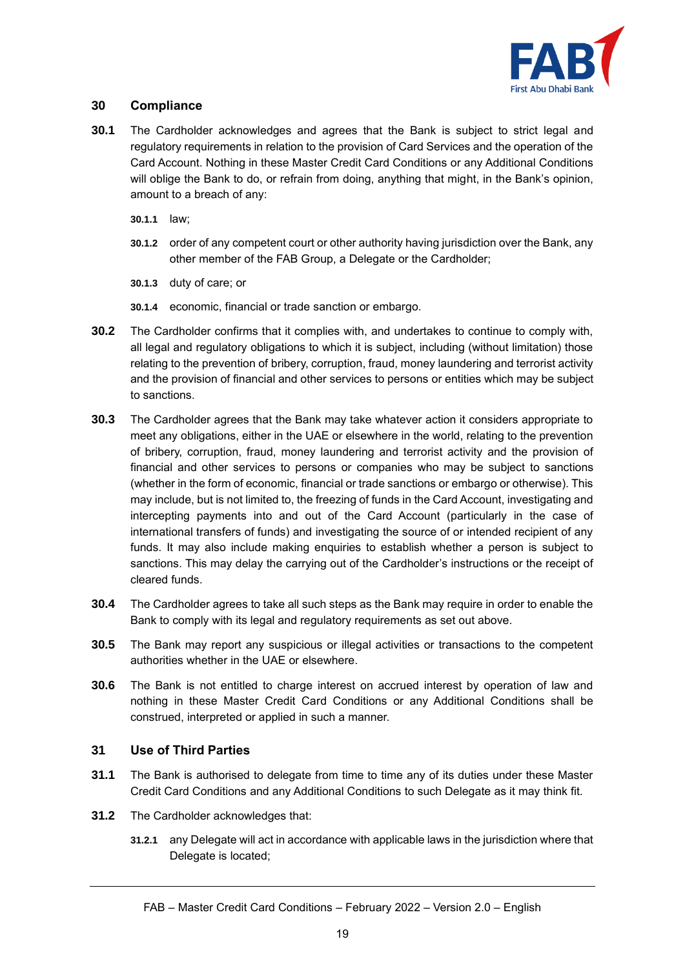

# **30 Compliance**

- **30.1** The Cardholder acknowledges and agrees that the Bank is subject to strict legal and regulatory requirements in relation to the provision of Card Services and the operation of the Card Account. Nothing in these Master Credit Card Conditions or any Additional Conditions will oblige the Bank to do, or refrain from doing, anything that might, in the Bank's opinion, amount to a breach of any:
	- **30.1.1** law;
	- **30.1.2** order of any competent court or other authority having jurisdiction over the Bank, any other member of the FAB Group, a Delegate or the Cardholder;
	- **30.1.3** duty of care; or
	- **30.1.4** economic, financial or trade sanction or embargo.
- **30.2** The Cardholder confirms that it complies with, and undertakes to continue to comply with, all legal and regulatory obligations to which it is subject, including (without limitation) those relating to the prevention of bribery, corruption, fraud, money laundering and terrorist activity and the provision of financial and other services to persons or entities which may be subject to sanctions.
- **30.3** The Cardholder agrees that the Bank may take whatever action it considers appropriate to meet any obligations, either in the UAE or elsewhere in the world, relating to the prevention of bribery, corruption, fraud, money laundering and terrorist activity and the provision of financial and other services to persons or companies who may be subject to sanctions (whether in the form of economic, financial or trade sanctions or embargo or otherwise). This may include, but is not limited to, the freezing of funds in the Card Account, investigating and intercepting payments into and out of the Card Account (particularly in the case of international transfers of funds) and investigating the source of or intended recipient of any funds. It may also include making enquiries to establish whether a person is subject to sanctions. This may delay the carrying out of the Cardholder's instructions or the receipt of cleared funds.
- **30.4** The Cardholder agrees to take all such steps as the Bank may require in order to enable the Bank to comply with its legal and regulatory requirements as set out above.
- **30.5** The Bank may report any suspicious or illegal activities or transactions to the competent authorities whether in the UAE or elsewhere.
- **30.6** The Bank is not entitled to charge interest on accrued interest by operation of law and nothing in these Master Credit Card Conditions or any Additional Conditions shall be construed, interpreted or applied in such a manner.

#### **31 Use of Third Parties**

- **31.1** The Bank is authorised to delegate from time to time any of its duties under these Master Credit Card Conditions and any Additional Conditions to such Delegate as it may think fit.
- **31.2** The Cardholder acknowledges that:
	- **31.2.1** any Delegate will act in accordance with applicable laws in the jurisdiction where that Delegate is located;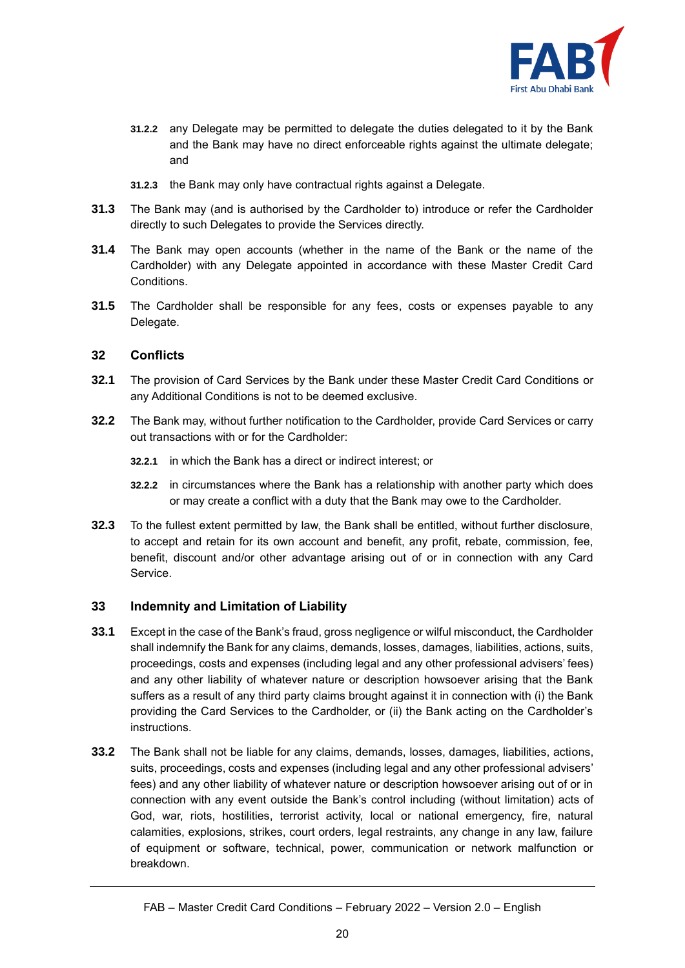

- **31.2.2** any Delegate may be permitted to delegate the duties delegated to it by the Bank and the Bank may have no direct enforceable rights against the ultimate delegate; and
- **31.2.3** the Bank may only have contractual rights against a Delegate.
- **31.3** The Bank may (and is authorised by the Cardholder to) introduce or refer the Cardholder directly to such Delegates to provide the Services directly.
- **31.4** The Bank may open accounts (whether in the name of the Bank or the name of the Cardholder) with any Delegate appointed in accordance with these Master Credit Card Conditions.
- **31.5** The Cardholder shall be responsible for any fees, costs or expenses payable to any Delegate.

#### **32 Conflicts**

- **32.1** The provision of Card Services by the Bank under these Master Credit Card Conditions or any Additional Conditions is not to be deemed exclusive.
- **32.2** The Bank may, without further notification to the Cardholder, provide Card Services or carry out transactions with or for the Cardholder:
	- **32.2.1** in which the Bank has a direct or indirect interest; or
	- **32.2.2** in circumstances where the Bank has a relationship with another party which does or may create a conflict with a duty that the Bank may owe to the Cardholder.
- **32.3** To the fullest extent permitted by law, the Bank shall be entitled, without further disclosure, to accept and retain for its own account and benefit, any profit, rebate, commission, fee, benefit, discount and/or other advantage arising out of or in connection with any Card Service.

# <span id="page-19-0"></span>**33 Indemnity and Limitation of Liability**

- **33.1** Except in the case of the Bank's fraud, gross negligence or wilful misconduct, the Cardholder shall indemnify the Bank for any claims, demands, losses, damages, liabilities, actions, suits, proceedings, costs and expenses (including legal and any other professional advisers' fees) and any other liability of whatever nature or description howsoever arising that the Bank suffers as a result of any third party claims brought against it in connection with (i) the Bank providing the Card Services to the Cardholder, or (ii) the Bank acting on the Cardholder's instructions.
- **33.2** The Bank shall not be liable for any claims, demands, losses, damages, liabilities, actions, suits, proceedings, costs and expenses (including legal and any other professional advisers' fees) and any other liability of whatever nature or description howsoever arising out of or in connection with any event outside the Bank's control including (without limitation) acts of God, war, riots, hostilities, terrorist activity, local or national emergency, fire, natural calamities, explosions, strikes, court orders, legal restraints, any change in any law, failure of equipment or software, technical, power, communication or network malfunction or breakdown.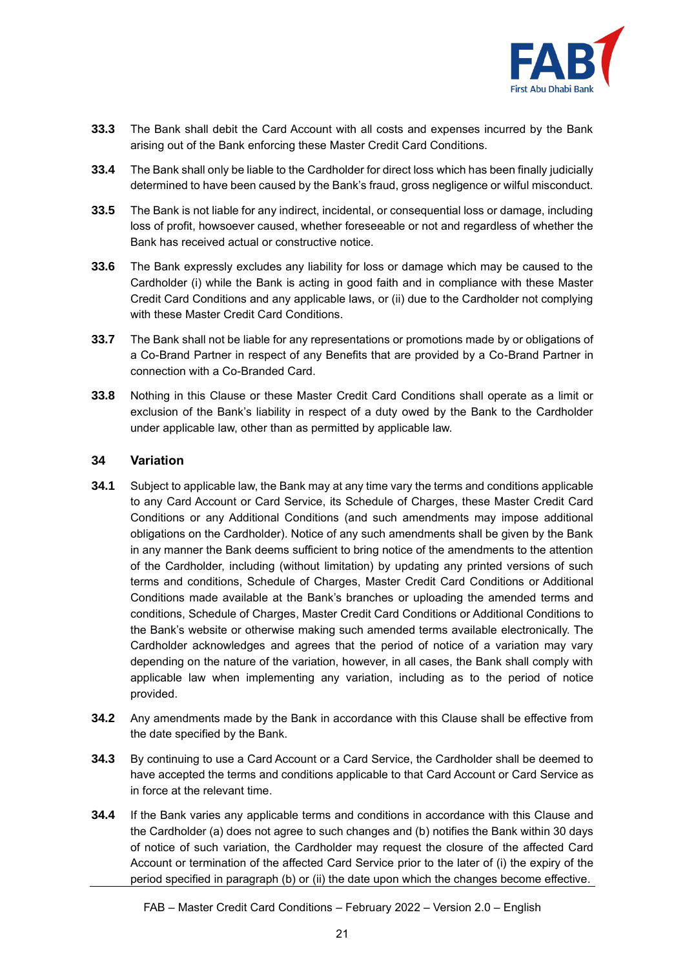

- **33.3** The Bank shall debit the Card Account with all costs and expenses incurred by the Bank arising out of the Bank enforcing these Master Credit Card Conditions.
- **33.4** The Bank shall only be liable to the Cardholder for direct loss which has been finally judicially determined to have been caused by the Bank's fraud, gross negligence or wilful misconduct.
- **33.5** The Bank is not liable for any indirect, incidental, or consequential loss or damage, including loss of profit, howsoever caused, whether foreseeable or not and regardless of whether the Bank has received actual or constructive notice.
- **33.6** The Bank expressly excludes any liability for loss or damage which may be caused to the Cardholder (i) while the Bank is acting in good faith and in compliance with these Master Credit Card Conditions and any applicable laws, or (ii) due to the Cardholder not complying with these Master Credit Card Conditions.
- **33.7** The Bank shall not be liable for any representations or promotions made by or obligations of a Co-Brand Partner in respect of any Benefits that are provided by a Co-Brand Partner in connection with a Co-Branded Card.
- **33.8** Nothing in this Clause or these Master Credit Card Conditions shall operate as a limit or exclusion of the Bank's liability in respect of a duty owed by the Bank to the Cardholder under applicable law, other than as permitted by applicable law.

#### **34 Variation**

- **34.1** Subject to applicable law, the Bank may at any time vary the terms and conditions applicable to any Card Account or Card Service, its Schedule of Charges, these Master Credit Card Conditions or any Additional Conditions (and such amendments may impose additional obligations on the Cardholder). Notice of any such amendments shall be given by the Bank in any manner the Bank deems sufficient to bring notice of the amendments to the attention of the Cardholder, including (without limitation) by updating any printed versions of such terms and conditions, Schedule of Charges, Master Credit Card Conditions or Additional Conditions made available at the Bank's branches or uploading the amended terms and conditions, Schedule of Charges, Master Credit Card Conditions or Additional Conditions to the Bank's website or otherwise making such amended terms available electronically. The Cardholder acknowledges and agrees that the period of notice of a variation may vary depending on the nature of the variation, however, in all cases, the Bank shall comply with applicable law when implementing any variation, including as to the period of notice provided.
- **34.2** Any amendments made by the Bank in accordance with this Clause shall be effective from the date specified by the Bank.
- **34.3** By continuing to use a Card Account or a Card Service, the Cardholder shall be deemed to have accepted the terms and conditions applicable to that Card Account or Card Service as in force at the relevant time.
- **34.4** If the Bank varies any applicable terms and conditions in accordance with this Clause and the Cardholder (a) does not agree to such changes and (b) notifies the Bank within 30 days of notice of such variation, the Cardholder may request the closure of the affected Card Account or termination of the affected Card Service prior to the later of (i) the expiry of the period specified in paragraph (b) or (ii) the date upon which the changes become effective.

FAB – Master Credit Card Conditions – February 2022 – Version 2.0 – English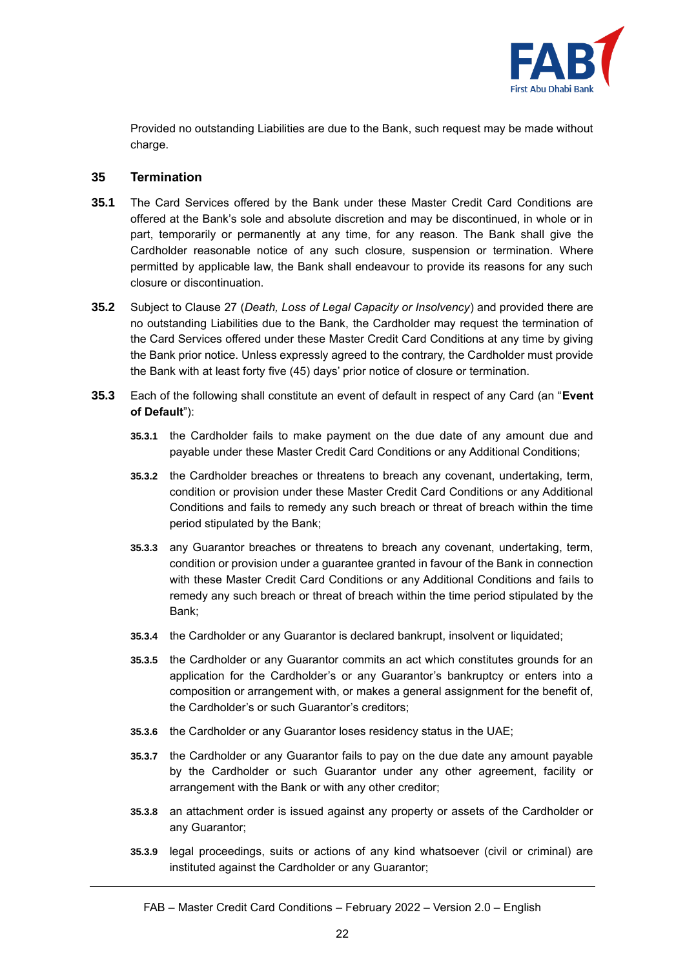

Provided no outstanding Liabilities are due to the Bank, such request may be made without charge.

#### **35 Termination**

- <span id="page-21-0"></span>**35.1** The Card Services offered by the Bank under these Master Credit Card Conditions are offered at the Bank's sole and absolute discretion and may be discontinued, in whole or in part, temporarily or permanently at any time, for any reason. The Bank shall give the Cardholder reasonable notice of any such closure, suspension or termination. Where permitted by applicable law, the Bank shall endeavour to provide its reasons for any such closure or discontinuation.
- <span id="page-21-1"></span>**35.2** Subject to Clause [27](#page-17-0) (*Death, Loss of Legal Capacity or Insolvency*) and provided there are no outstanding Liabilities due to the Bank, the Cardholder may request the termination of the Card Services offered under these Master Credit Card Conditions at any time by giving the Bank prior notice. Unless expressly agreed to the contrary, the Cardholder must provide the Bank with at least forty five (45) days' prior notice of closure or termination.
- <span id="page-21-2"></span>**35.3** Each of the following shall constitute an event of default in respect of any Card (an "**Event of Default**"):
	- **35.3.1** the Cardholder fails to make payment on the due date of any amount due and payable under these Master Credit Card Conditions or any Additional Conditions;
	- **35.3.2** the Cardholder breaches or threatens to breach any covenant, undertaking, term, condition or provision under these Master Credit Card Conditions or any Additional Conditions and fails to remedy any such breach or threat of breach within the time period stipulated by the Bank;
	- **35.3.3** any Guarantor breaches or threatens to breach any covenant, undertaking, term, condition or provision under a guarantee granted in favour of the Bank in connection with these Master Credit Card Conditions or any Additional Conditions and fails to remedy any such breach or threat of breach within the time period stipulated by the Bank;
	- **35.3.4** the Cardholder or any Guarantor is declared bankrupt, insolvent or liquidated;
	- **35.3.5** the Cardholder or any Guarantor commits an act which constitutes grounds for an application for the Cardholder's or any Guarantor's bankruptcy or enters into a composition or arrangement with, or makes a general assignment for the benefit of, the Cardholder's or such Guarantor's creditors;
	- **35.3.6** the Cardholder or any Guarantor loses residency status in the UAE;
	- **35.3.7** the Cardholder or any Guarantor fails to pay on the due date any amount payable by the Cardholder or such Guarantor under any other agreement, facility or arrangement with the Bank or with any other creditor;
	- **35.3.8** an attachment order is issued against any property or assets of the Cardholder or any Guarantor;
	- **35.3.9** legal proceedings, suits or actions of any kind whatsoever (civil or criminal) are instituted against the Cardholder or any Guarantor;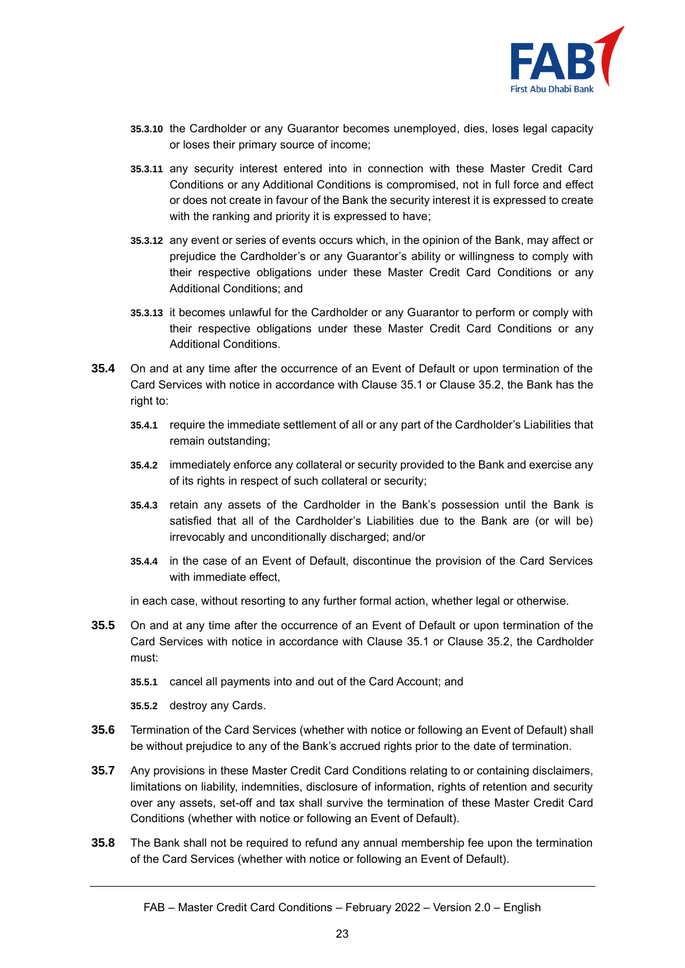

- **35.3.10** the Cardholder or any Guarantor becomes unemployed, dies, loses legal capacity or loses their primary source of income;
- **35.3.11** any security interest entered into in connection with these Master Credit Card Conditions or any Additional Conditions is compromised, not in full force and effect or does not create in favour of the Bank the security interest it is expressed to create with the ranking and priority it is expressed to have;
- **35.3.12** any event or series of events occurs which, in the opinion of the Bank, may affect or prejudice the Cardholder's or any Guarantor's ability or willingness to comply with their respective obligations under these Master Credit Card Conditions or any Additional Conditions; and
- **35.3.13** it becomes unlawful for the Cardholder or any Guarantor to perform or comply with their respective obligations under these Master Credit Card Conditions or any Additional Conditions.
- **35.4** On and at any time after the occurrence of an Event of Default or upon termination of the Card Services with notice in accordance with Clause [35.1](#page-21-0) or Clause [35.2,](#page-21-1) the Bank has the right to:
	- **35.4.1** require the immediate settlement of all or any part of the Cardholder's Liabilities that remain outstanding;
	- **35.4.2** immediately enforce any collateral or security provided to the Bank and exercise any of its rights in respect of such collateral or security;
	- **35.4.3** retain any assets of the Cardholder in the Bank's possession until the Bank is satisfied that all of the Cardholder's Liabilities due to the Bank are (or will be) irrevocably and unconditionally discharged; and/or
	- **35.4.4** in the case of an Event of Default, discontinue the provision of the Card Services with immediate effect,
	- in each case, without resorting to any further formal action, whether legal or otherwise.
- **35.5** On and at any time after the occurrence of an Event of Default or upon termination of the Card Services with notice in accordance with Clause [35.1](#page-21-0) or Clause [35.2,](#page-21-1) the Cardholder must:
	- **35.5.1** cancel all payments into and out of the Card Account; and
	- **35.5.2** destroy any Cards.
- **35.6** Termination of the Card Services (whether with notice or following an Event of Default) shall be without prejudice to any of the Bank's accrued rights prior to the date of termination.
- **35.7** Any provisions in these Master Credit Card Conditions relating to or containing disclaimers, limitations on liability, indemnities, disclosure of information, rights of retention and security over any assets, set-off and tax shall survive the termination of these Master Credit Card Conditions (whether with notice or following an Event of Default).
- **35.8** The Bank shall not be required to refund any annual membership fee upon the termination of the Card Services (whether with notice or following an Event of Default).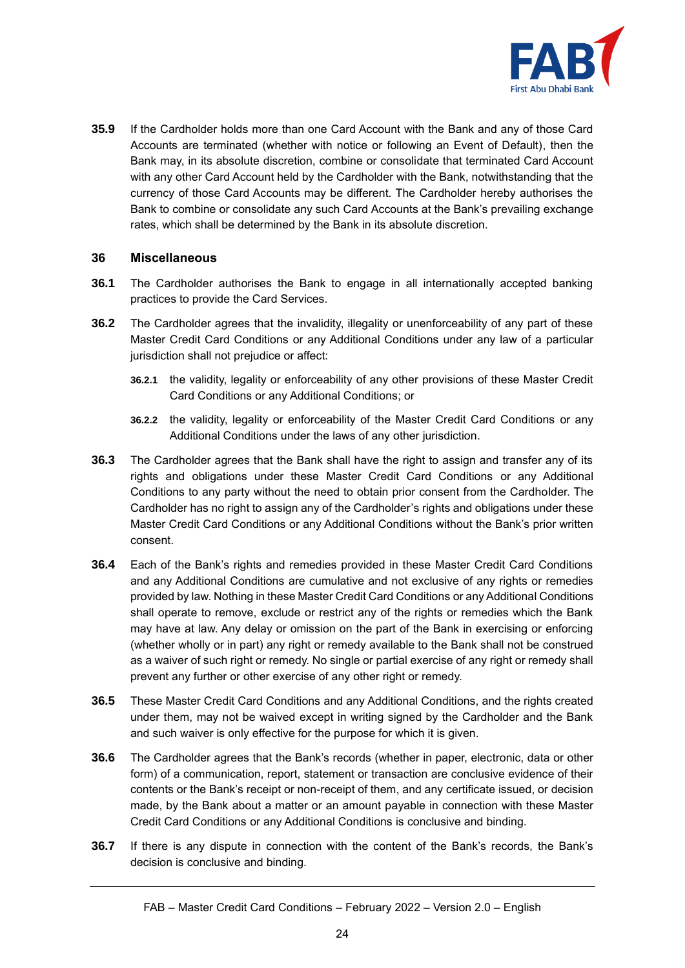

**35.9** If the Cardholder holds more than one Card Account with the Bank and any of those Card Accounts are terminated (whether with notice or following an Event of Default), then the Bank may, in its absolute discretion, combine or consolidate that terminated Card Account with any other Card Account held by the Cardholder with the Bank, notwithstanding that the currency of those Card Accounts may be different. The Cardholder hereby authorises the Bank to combine or consolidate any such Card Accounts at the Bank's prevailing exchange rates, which shall be determined by the Bank in its absolute discretion.

# **36 Miscellaneous**

- **36.1** The Cardholder authorises the Bank to engage in all internationally accepted banking practices to provide the Card Services.
- **36.2** The Cardholder agrees that the invalidity, illegality or unenforceability of any part of these Master Credit Card Conditions or any Additional Conditions under any law of a particular jurisdiction shall not prejudice or affect:
	- **36.2.1** the validity, legality or enforceability of any other provisions of these Master Credit Card Conditions or any Additional Conditions; or
	- **36.2.2** the validity, legality or enforceability of the Master Credit Card Conditions or any Additional Conditions under the laws of any other jurisdiction.
- **36.3** The Cardholder agrees that the Bank shall have the right to assign and transfer any of its rights and obligations under these Master Credit Card Conditions or any Additional Conditions to any party without the need to obtain prior consent from the Cardholder. The Cardholder has no right to assign any of the Cardholder's rights and obligations under these Master Credit Card Conditions or any Additional Conditions without the Bank's prior written consent.
- **36.4** Each of the Bank's rights and remedies provided in these Master Credit Card Conditions and any Additional Conditions are cumulative and not exclusive of any rights or remedies provided by law. Nothing in these Master Credit Card Conditions or any Additional Conditions shall operate to remove, exclude or restrict any of the rights or remedies which the Bank may have at law. Any delay or omission on the part of the Bank in exercising or enforcing (whether wholly or in part) any right or remedy available to the Bank shall not be construed as a waiver of such right or remedy. No single or partial exercise of any right or remedy shall prevent any further or other exercise of any other right or remedy.
- **36.5** These Master Credit Card Conditions and any Additional Conditions, and the rights created under them, may not be waived except in writing signed by the Cardholder and the Bank and such waiver is only effective for the purpose for which it is given.
- **36.6** The Cardholder agrees that the Bank's records (whether in paper, electronic, data or other form) of a communication, report, statement or transaction are conclusive evidence of their contents or the Bank's receipt or non-receipt of them, and any certificate issued, or decision made, by the Bank about a matter or an amount payable in connection with these Master Credit Card Conditions or any Additional Conditions is conclusive and binding.
- **36.7** If there is any dispute in connection with the content of the Bank's records, the Bank's decision is conclusive and binding.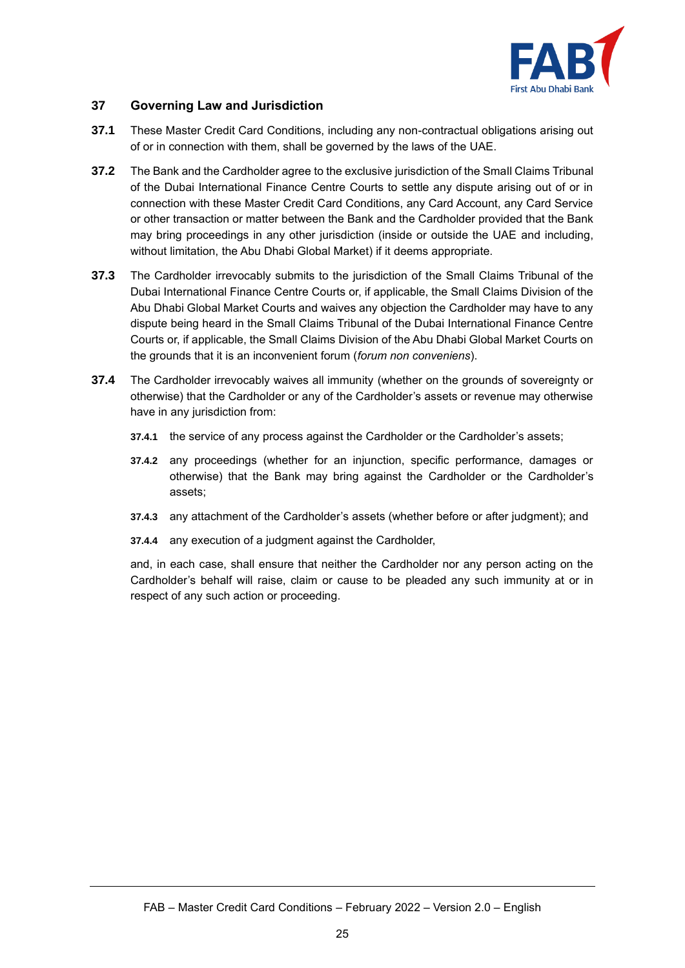

# **37 Governing Law and Jurisdiction**

- **37.1** These Master Credit Card Conditions, including any non-contractual obligations arising out of or in connection with them, shall be governed by the laws of the UAE.
- **37.2** The Bank and the Cardholder agree to the exclusive jurisdiction of the Small Claims Tribunal of the Dubai International Finance Centre Courts to settle any dispute arising out of or in connection with these Master Credit Card Conditions, any Card Account, any Card Service or other transaction or matter between the Bank and the Cardholder provided that the Bank may bring proceedings in any other jurisdiction (inside or outside the UAE and including, without limitation, the Abu Dhabi Global Market) if it deems appropriate.
- **37.3** The Cardholder irrevocably submits to the jurisdiction of the Small Claims Tribunal of the Dubai International Finance Centre Courts or, if applicable, the Small Claims Division of the Abu Dhabi Global Market Courts and waives any objection the Cardholder may have to any dispute being heard in the Small Claims Tribunal of the Dubai International Finance Centre Courts or, if applicable, the Small Claims Division of the Abu Dhabi Global Market Courts on the grounds that it is an inconvenient forum (*forum non conveniens*).
- **37.4** The Cardholder irrevocably waives all immunity (whether on the grounds of sovereignty or otherwise) that the Cardholder or any of the Cardholder's assets or revenue may otherwise have in any jurisdiction from:
	- **37.4.1** the service of any process against the Cardholder or the Cardholder's assets;
	- **37.4.2** any proceedings (whether for an injunction, specific performance, damages or otherwise) that the Bank may bring against the Cardholder or the Cardholder's assets;
	- **37.4.3** any attachment of the Cardholder's assets (whether before or after judgment); and
	- **37.4.4** any execution of a judgment against the Cardholder,

and, in each case, shall ensure that neither the Cardholder nor any person acting on the Cardholder's behalf will raise, claim or cause to be pleaded any such immunity at or in respect of any such action or proceeding.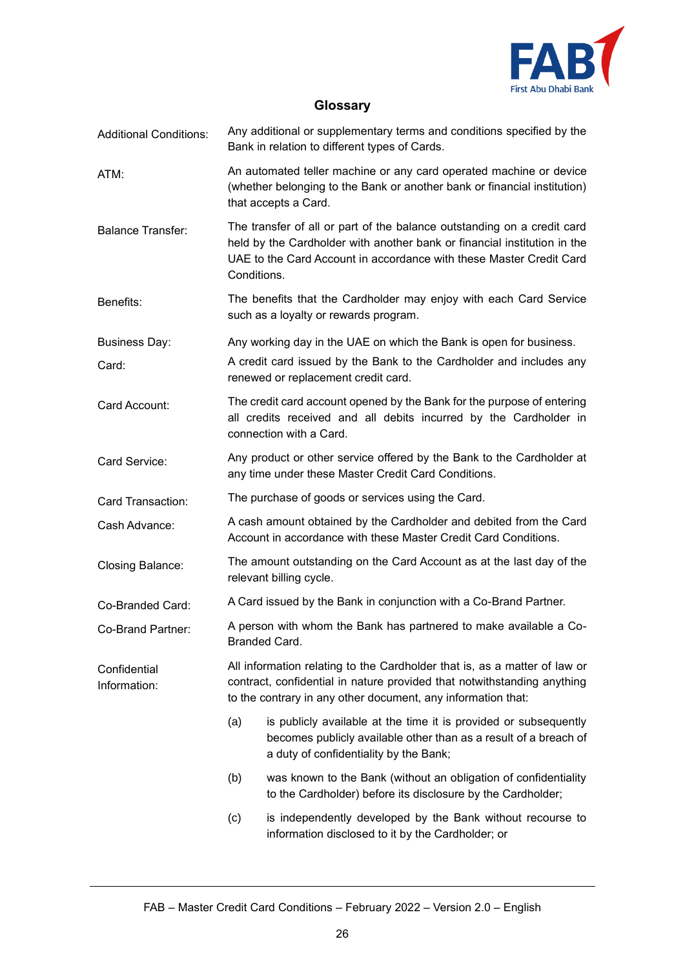

# **Glossary**

| <b>Additional Conditions:</b> | Any additional or supplementary terms and conditions specified by the<br>Bank in relation to different types of Cards.                                                                                                                    |                                                                                                                                                                                |
|-------------------------------|-------------------------------------------------------------------------------------------------------------------------------------------------------------------------------------------------------------------------------------------|--------------------------------------------------------------------------------------------------------------------------------------------------------------------------------|
| ATM:                          | An automated teller machine or any card operated machine or device<br>(whether belonging to the Bank or another bank or financial institution)<br>that accepts a Card.                                                                    |                                                                                                                                                                                |
| <b>Balance Transfer:</b>      | The transfer of all or part of the balance outstanding on a credit card<br>held by the Cardholder with another bank or financial institution in the<br>UAE to the Card Account in accordance with these Master Credit Card<br>Conditions. |                                                                                                                                                                                |
| Benefits:                     | The benefits that the Cardholder may enjoy with each Card Service<br>such as a loyalty or rewards program.                                                                                                                                |                                                                                                                                                                                |
| <b>Business Day:</b>          | Any working day in the UAE on which the Bank is open for business.                                                                                                                                                                        |                                                                                                                                                                                |
| Card:                         |                                                                                                                                                                                                                                           | A credit card issued by the Bank to the Cardholder and includes any<br>renewed or replacement credit card.                                                                     |
| Card Account:                 | The credit card account opened by the Bank for the purpose of entering<br>all credits received and all debits incurred by the Cardholder in<br>connection with a Card.                                                                    |                                                                                                                                                                                |
| Card Service:                 | Any product or other service offered by the Bank to the Cardholder at<br>any time under these Master Credit Card Conditions.                                                                                                              |                                                                                                                                                                                |
| Card Transaction:             | The purchase of goods or services using the Card.                                                                                                                                                                                         |                                                                                                                                                                                |
| Cash Advance:                 | A cash amount obtained by the Cardholder and debited from the Card<br>Account in accordance with these Master Credit Card Conditions.                                                                                                     |                                                                                                                                                                                |
| Closing Balance:              | The amount outstanding on the Card Account as at the last day of the<br>relevant billing cycle.                                                                                                                                           |                                                                                                                                                                                |
| Co-Branded Card:              | A Card issued by the Bank in conjunction with a Co-Brand Partner.                                                                                                                                                                         |                                                                                                                                                                                |
| Co-Brand Partner:             | A person with whom the Bank has partnered to make available a Co-<br>Branded Card.                                                                                                                                                        |                                                                                                                                                                                |
| Confidential<br>Information:  | All information relating to the Cardholder that is, as a matter of law or<br>contract, confidential in nature provided that notwithstanding anything<br>to the contrary in any other document, any information that:                      |                                                                                                                                                                                |
|                               | (a)                                                                                                                                                                                                                                       | is publicly available at the time it is provided or subsequently<br>becomes publicly available other than as a result of a breach of<br>a duty of confidentiality by the Bank; |
|                               | (b)                                                                                                                                                                                                                                       | was known to the Bank (without an obligation of confidentiality<br>to the Cardholder) before its disclosure by the Cardholder;                                                 |
|                               | (c)                                                                                                                                                                                                                                       | is independently developed by the Bank without recourse to<br>information disclosed to it by the Cardholder; or                                                                |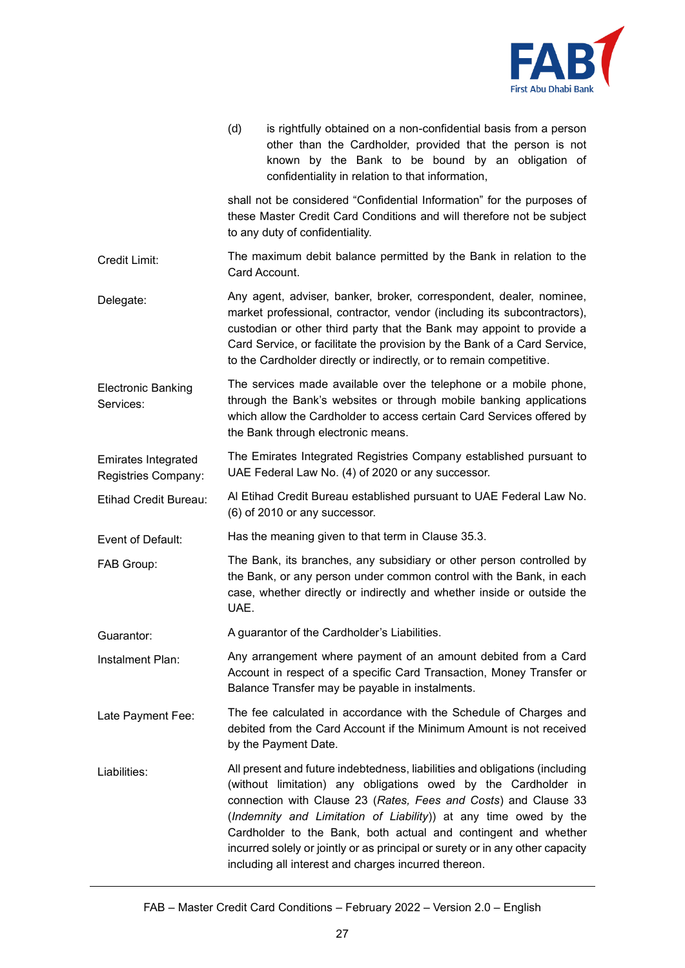

|                                                   | (d)<br>is rightfully obtained on a non-confidential basis from a person<br>other than the Cardholder, provided that the person is not<br>known by the Bank to be bound by an obligation of<br>confidentiality in relation to that information,                                                                                                                                                                                                                                                  |  |  |
|---------------------------------------------------|-------------------------------------------------------------------------------------------------------------------------------------------------------------------------------------------------------------------------------------------------------------------------------------------------------------------------------------------------------------------------------------------------------------------------------------------------------------------------------------------------|--|--|
|                                                   | shall not be considered "Confidential Information" for the purposes of<br>these Master Credit Card Conditions and will therefore not be subject<br>to any duty of confidentiality.                                                                                                                                                                                                                                                                                                              |  |  |
| Credit Limit:                                     | The maximum debit balance permitted by the Bank in relation to the<br>Card Account.                                                                                                                                                                                                                                                                                                                                                                                                             |  |  |
| Delegate:                                         | Any agent, adviser, banker, broker, correspondent, dealer, nominee,<br>market professional, contractor, vendor (including its subcontractors),<br>custodian or other third party that the Bank may appoint to provide a<br>Card Service, or facilitate the provision by the Bank of a Card Service,<br>to the Cardholder directly or indirectly, or to remain competitive.                                                                                                                      |  |  |
| <b>Electronic Banking</b><br>Services:            | The services made available over the telephone or a mobile phone,<br>through the Bank's websites or through mobile banking applications<br>which allow the Cardholder to access certain Card Services offered by<br>the Bank through electronic means.                                                                                                                                                                                                                                          |  |  |
| <b>Emirates Integrated</b><br>Registries Company: | The Emirates Integrated Registries Company established pursuant to<br>UAE Federal Law No. (4) of 2020 or any successor.                                                                                                                                                                                                                                                                                                                                                                         |  |  |
| Etihad Credit Bureau:                             | Al Etihad Credit Bureau established pursuant to UAE Federal Law No.<br>(6) of 2010 or any successor.                                                                                                                                                                                                                                                                                                                                                                                            |  |  |
| Event of Default:                                 | Has the meaning given to that term in Clause 35.3.                                                                                                                                                                                                                                                                                                                                                                                                                                              |  |  |
| FAB Group:                                        | The Bank, its branches, any subsidiary or other person controlled by<br>the Bank, or any person under common control with the Bank, in each<br>case, whether directly or indirectly and whether inside or outside the<br>UAE.                                                                                                                                                                                                                                                                   |  |  |
| Guarantor:                                        | A quarantor of the Cardholder's Liabilities.                                                                                                                                                                                                                                                                                                                                                                                                                                                    |  |  |
| Instalment Plan:                                  | Any arrangement where payment of an amount debited from a Card<br>Account in respect of a specific Card Transaction, Money Transfer or<br>Balance Transfer may be payable in instalments.                                                                                                                                                                                                                                                                                                       |  |  |
| Late Payment Fee:                                 | The fee calculated in accordance with the Schedule of Charges and<br>debited from the Card Account if the Minimum Amount is not received<br>by the Payment Date.                                                                                                                                                                                                                                                                                                                                |  |  |
| Liabilities:                                      | All present and future indebtedness, liabilities and obligations (including<br>(without limitation) any obligations owed by the Cardholder in<br>connection with Clause 23 (Rates, Fees and Costs) and Clause 33<br>(Indemnity and Limitation of Liability)) at any time owed by the<br>Cardholder to the Bank, both actual and contingent and whether<br>incurred solely or jointly or as principal or surety or in any other capacity<br>including all interest and charges incurred thereon. |  |  |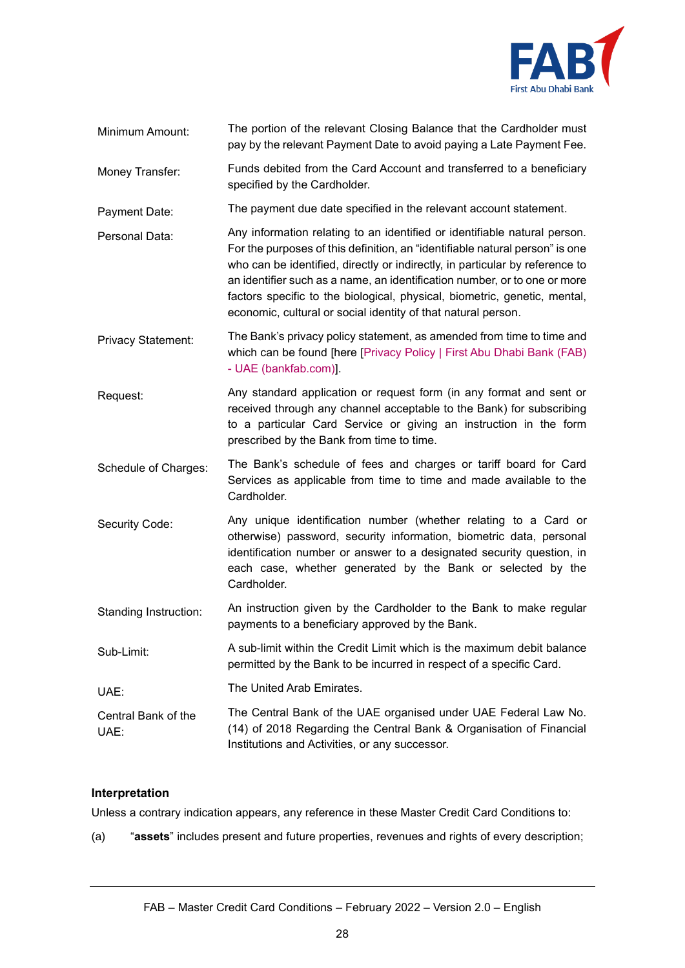

- Minimum Amount: The portion of the relevant Closing Balance that the Cardholder must pay by the relevant Payment Date to avoid paying a Late Payment Fee.
- Money Transfer: Funds debited from the Card Account and transferred to a beneficiary specified by the Cardholder.

Payment Date: The payment due date specified in the relevant account statement.

Personal Data: Any information relating to an identified or identifiable natural person. For the purposes of this definition, an "identifiable natural person" is one who can be identified, directly or indirectly, in particular by reference to an identifier such as a name, an identification number, or to one or more factors specific to the biological, physical, biometric, genetic, mental, economic, cultural or social identity of that natural person.

Privacy Statement: The Bank's privacy policy statement, as amended from time to time and which can be found [here [\[Privacy Policy | First Abu Dhabi Bank \(FAB\)](https://www.bankfab.com/en-ae/privacy-policy)  - [UAE \(bankfab.com\)\]](https://www.bankfab.com/en-ae/privacy-policy).

- Request: Any standard application or request form (in any format and sent or received through any channel acceptable to the Bank) for subscribing to a particular Card Service or giving an instruction in the form prescribed by the Bank from time to time.
- Schedule of Charges: The Bank's schedule of fees and charges or tariff board for Card Services as applicable from time to time and made available to the Cardholder.
- Security Code: Any unique identification number (whether relating to a Card or otherwise) password, security information, biometric data, personal identification number or answer to a designated security question, in each case, whether generated by the Bank or selected by the Cardholder.
- Standing Instruction: An instruction given by the Cardholder to the Bank to make regular payments to a beneficiary approved by the Bank.
- Sub-Limit: A sub-limit within the Credit Limit which is the maximum debit balance permitted by the Bank to be incurred in respect of a specific Card.
- UAE: The United Arab Emirates.
- Central Bank of the UAE: The Central Bank of the UAE organised under UAE Federal Law No. (14) of 2018 Regarding the Central Bank & Organisation of Financial Institutions and Activities, or any successor.

# **Interpretation**

Unless a contrary indication appears, any reference in these Master Credit Card Conditions to:

(a) "**assets**" includes present and future properties, revenues and rights of every description;